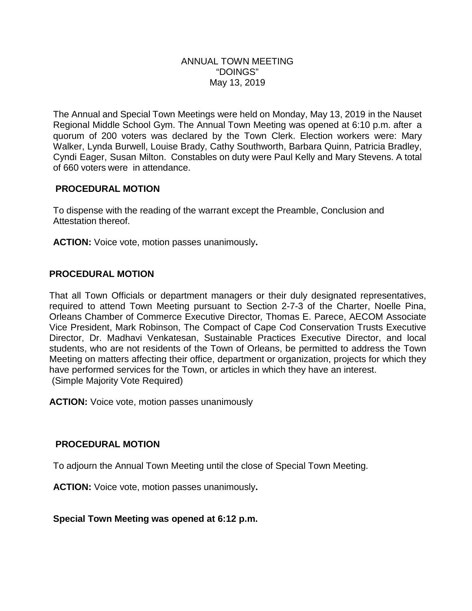#### ANNUAL TOWN MEETING "DOINGS" May 13, 2019

The Annual and Special Town Meetings were held on Monday, May 13, 2019 in the Nauset Regional Middle School Gym. The Annual Town Meeting was opened at 6:10 p.m. after a quorum of 200 voters was declared by the Town Clerk. Election workers were: Mary Walker, Lynda Burwell, Louise Brady, Cathy Southworth, Barbara Quinn, Patricia Bradley, Cyndi Eager, Susan Milton. Constables on duty were Paul Kelly and Mary Stevens. A total of 660 voters were in attendance.

## **PROCEDURAL MOTION**

To dispense with the reading of the warrant except the Preamble, Conclusion and Attestation thereof.

**ACTION:** Voice vote, motion passes unanimously**.**

## **PROCEDURAL MOTION**

That all Town Officials or department managers or their duly designated representatives, required to attend Town Meeting pursuant to Section 2-7-3 of the Charter, Noelle Pina, Orleans Chamber of Commerce Executive Director*,* Thomas E. Parece, AECOM Associate Vice President, Mark Robinson, The Compact of Cape Cod Conservation Trusts Executive Director, Dr. Madhavi Venkatesan, Sustainable Practices Executive Director, and local students, who are not residents of the Town of Orleans, be permitted to address the Town Meeting on matters affecting their office, department or organization, projects for which they have performed services for the Town, or articles in which they have an interest. (Simple Majority Vote Required)

**ACTION:** Voice vote, motion passes unanimously

#### **PROCEDURAL MOTION**

To adjourn the Annual Town Meeting until the close of Special Town Meeting.

**ACTION:** Voice vote, motion passes unanimously**.**

**Special Town Meeting was opened at 6:12 p.m.**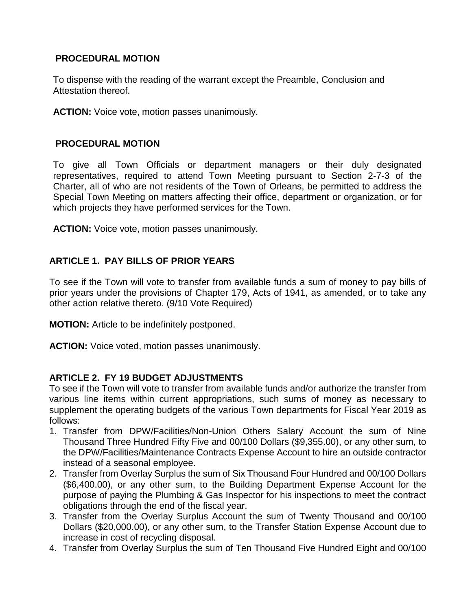# **PROCEDURAL MOTION**

To dispense with the reading of the warrant except the Preamble, Conclusion and Attestation thereof.

**ACTION:** Voice vote, motion passes unanimously.

#### **PROCEDURAL MOTION**

To give all Town Officials or department managers or their duly designated representatives, required to attend Town Meeting pursuant to Section 2-7-3 of the Charter, all of who are not residents of the Town of Orleans, be permitted to address the Special Town Meeting on matters affecting their office, department or organization, or for which projects they have performed services for the Town.

**ACTION:** Voice vote, motion passes unanimously.

## **ARTICLE 1. PAY BILLS OF PRIOR YEARS**

To see if the Town will vote to transfer from available funds a sum of money to pay bills of prior years under the provisions of Chapter 179, Acts of 1941, as amended, or to take any other action relative thereto. (9/10 Vote Required)

**MOTION:** Article to be indefinitely postponed.

**ACTION:** Voice voted, motion passes unanimously.

#### **ARTICLE 2. FY 19 BUDGET ADJUSTMENTS**

To see if the Town will vote to transfer from available funds and/or authorize the transfer from various line items within current appropriations, such sums of money as necessary to supplement the operating budgets of the various Town departments for Fiscal Year 2019 as follows:

- 1. Transfer from DPW/Facilities/Non-Union Others Salary Account the sum of Nine Thousand Three Hundred Fifty Five and 00/100 Dollars (\$9,355.00), or any other sum, to the DPW/Facilities/Maintenance Contracts Expense Account to hire an outside contractor instead of a seasonal employee.
- 2. Transfer from Overlay Surplus the sum of Six Thousand Four Hundred and 00/100 Dollars (\$6,400.00), or any other sum, to the Building Department Expense Account for the purpose of paying the Plumbing & Gas Inspector for his inspections to meet the contract obligations through the end of the fiscal year.
- 3. Transfer from the Overlay Surplus Account the sum of Twenty Thousand and 00/100 Dollars (\$20,000.00), or any other sum, to the Transfer Station Expense Account due to increase in cost of recycling disposal.
- 4. Transfer from Overlay Surplus the sum of Ten Thousand Five Hundred Eight and 00/100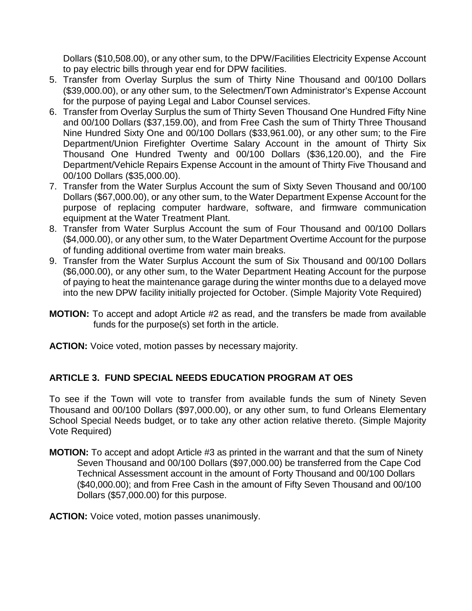Dollars (\$10,508.00), or any other sum, to the DPW/Facilities Electricity Expense Account to pay electric bills through year end for DPW facilities.

- 5. Transfer from Overlay Surplus the sum of Thirty Nine Thousand and 00/100 Dollars (\$39,000.00), or any other sum, to the Selectmen/Town Administrator's Expense Account for the purpose of paying Legal and Labor Counsel services.
- 6. Transfer from Overlay Surplus the sum of Thirty Seven Thousand One Hundred Fifty Nine and 00/100 Dollars (\$37,159.00), and from Free Cash the sum of Thirty Three Thousand Nine Hundred Sixty One and 00/100 Dollars (\$33,961.00), or any other sum; to the Fire Department/Union Firefighter Overtime Salary Account in the amount of Thirty Six Thousand One Hundred Twenty and 00/100 Dollars (\$36,120.00), and the Fire Department/Vehicle Repairs Expense Account in the amount of Thirty Five Thousand and 00/100 Dollars (\$35,000.00).
- 7. Transfer from the Water Surplus Account the sum of Sixty Seven Thousand and 00/100 Dollars (\$67,000.00), or any other sum, to the Water Department Expense Account for the purpose of replacing computer hardware, software, and firmware communication equipment at the Water Treatment Plant.
- 8. Transfer from Water Surplus Account the sum of Four Thousand and 00/100 Dollars (\$4,000.00), or any other sum, to the Water Department Overtime Account for the purpose of funding additional overtime from water main breaks.
- 9. Transfer from the Water Surplus Account the sum of Six Thousand and 00/100 Dollars (\$6,000.00), or any other sum, to the Water Department Heating Account for the purpose of paying to heat the maintenance garage during the winter months due to a delayed move into the new DPW facility initially projected for October. (Simple Majority Vote Required)
- **MOTION:** To accept and adopt Article #2 as read, and the transfers be made from available funds for the purpose(s) set forth in the article.
- **ACTION:** Voice voted, motion passes by necessary majority.

# **ARTICLE 3. FUND SPECIAL NEEDS EDUCATION PROGRAM AT OES**

To see if the Town will vote to transfer from available funds the sum of Ninety Seven Thousand and 00/100 Dollars (\$97,000.00), or any other sum, to fund Orleans Elementary School Special Needs budget, or to take any other action relative thereto. (Simple Majority Vote Required)

**MOTION:** To accept and adopt Article #3 as printed in the warrant and that the sum of Ninety Seven Thousand and 00/100 Dollars (\$97,000.00) be transferred from the Cape Cod Technical Assessment account in the amount of Forty Thousand and 00/100 Dollars (\$40,000.00); and from Free Cash in the amount of Fifty Seven Thousand and 00/100 Dollars (\$57,000.00) for this purpose.

**ACTION:** Voice voted, motion passes unanimously.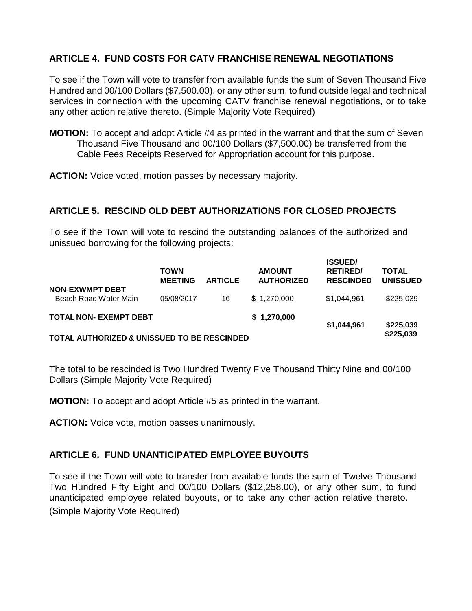# **ARTICLE 4. FUND COSTS FOR CATV FRANCHISE RENEWAL NEGOTIATIONS**

To see if the Town will vote to transfer from available funds the sum of Seven Thousand Five Hundred and 00/100 Dollars (\$7,500.00), or any other sum, to fund outside legal and technical services in connection with the upcoming CATV franchise renewal negotiations, or to take any other action relative thereto. (Simple Majority Vote Required)

**MOTION:** To accept and adopt Article #4 as printed in the warrant and that the sum of Seven Thousand Five Thousand and 00/100 Dollars (\$7,500.00) be transferred from the Cable Fees Receipts Reserved for Appropriation account for this purpose.

**ACTION:** Voice voted, motion passes by necessary majority.

#### **ARTICLE 5. RESCIND OLD DEBT AUTHORIZATIONS FOR CLOSED PROJECTS**

To see if the Town will vote to rescind the outstanding balances of the authorized and unissued borrowing for the following projects:

|                                                        | <b>TOWN</b><br><b>MEETING</b> | <b>ARTICLE</b> | <b>AMOUNT</b><br><b>AUTHORIZED</b> | <b>ISSUED/</b><br><b>RETIRED/</b><br><b>RESCINDED</b> | <b>TOTAL</b><br><b>UNISSUED</b> |
|--------------------------------------------------------|-------------------------------|----------------|------------------------------------|-------------------------------------------------------|---------------------------------|
| <b>NON-EXWMPT DEBT</b><br>Beach Road Water Main        | 05/08/2017                    | 16             | \$1,270,000                        | \$1,044,961                                           | \$225,039                       |
| <b>TOTAL NON- EXEMPT DEBT</b>                          |                               |                | \$1,270,000                        | \$1,044,961                                           | \$225,039                       |
| <b>TOTAL AUTHORIZED &amp; UNISSUED TO BE RESCINDED</b> |                               |                |                                    |                                                       | \$225,039                       |

The total to be rescinded is Two Hundred Twenty Five Thousand Thirty Nine and 00/100 Dollars (Simple Majority Vote Required)

**MOTION:** To accept and adopt Article #5 as printed in the warrant.

**ACTION:** Voice vote, motion passes unanimously.

#### **ARTICLE 6. FUND UNANTICIPATED EMPLOYEE BUYOUTS**

To see if the Town will vote to transfer from available funds the sum of Twelve Thousand Two Hundred Fifty Eight and 00/100 Dollars (\$12,258.00), or any other sum, to fund unanticipated employee related buyouts, or to take any other action relative thereto. (Simple Majority Vote Required)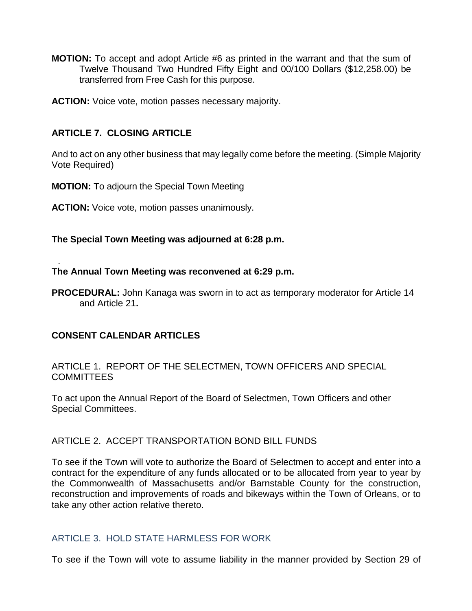**MOTION:** To accept and adopt Article #6 as printed in the warrant and that the sum of Twelve Thousand Two Hundred Fifty Eight and 00/100 Dollars (\$12,258.00) be transferred from Free Cash for this purpose.

**ACTION:** Voice vote, motion passes necessary majority.

# **ARTICLE 7. CLOSING ARTICLE**

And to act on any other business that may legally come before the meeting. (Simple Majority Vote Required)

**MOTION:** To adjourn the Special Town Meeting

**ACTION:** Voice vote, motion passes unanimously.

**The Special Town Meeting was adjourned at 6:28 p.m.**

#### . **The Annual Town Meeting was reconvened at 6:29 p.m.**

**PROCEDURAL:** John Kanaga was sworn in to act as temporary moderator for Article 14 and Article 21**.**

#### **CONSENT CALENDAR ARTICLES**

ARTICLE 1. REPORT OF THE SELECTMEN, TOWN OFFICERS AND SPECIAL **COMMITTEES** 

To act upon the Annual Report of the Board of Selectmen, Town Officers and other Special Committees.

#### ARTICLE 2. ACCEPT TRANSPORTATION BOND BILL FUNDS

To see if the Town will vote to authorize the Board of Selectmen to accept and enter into a contract for the expenditure of any funds allocated or to be allocated from year to year by the Commonwealth of Massachusetts and/or Barnstable County for the construction, reconstruction and improvements of roads and bikeways within the Town of Orleans, or to take any other action relative thereto.

#### ARTICLE 3. HOLD STATE HARMLESS FOR WORK

To see if the Town will vote to assume liability in the manner provided by Section 29 of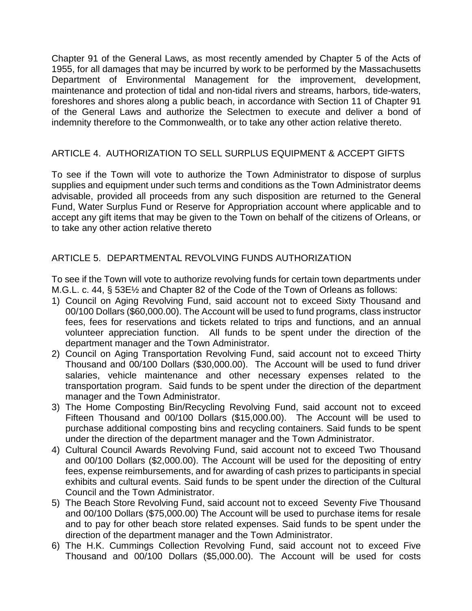Chapter 91 of the General Laws, as most recently amended by Chapter 5 of the Acts of 1955, for all damages that may be incurred by work to be performed by the Massachusetts Department of Environmental Management for the improvement, development, maintenance and protection of tidal and non-tidal rivers and streams, harbors, tide-waters, foreshores and shores along a public beach, in accordance with Section 11 of Chapter 91 of the General Laws and authorize the Selectmen to execute and deliver a bond of indemnity therefore to the Commonwealth, or to take any other action relative thereto.

## ARTICLE 4. AUTHORIZATION TO SELL SURPLUS EQUIPMENT & ACCEPT GIFTS

To see if the Town will vote to authorize the Town Administrator to dispose of surplus supplies and equipment under such terms and conditions as the Town Administrator deems advisable, provided all proceeds from any such disposition are returned to the General Fund, Water Surplus Fund or Reserve for Appropriation account where applicable and to accept any gift items that may be given to the Town on behalf of the citizens of Orleans, or to take any other action relative thereto

## ARTICLE 5. DEPARTMENTAL REVOLVING FUNDS AUTHORIZATION

To see if the Town will vote to authorize revolving funds for certain town departments under M.G.L. c. 44, § 53E½ and Chapter 82 of the Code of the Town of Orleans as follows:

- 1) Council on Aging Revolving Fund, said account not to exceed Sixty Thousand and 00/100 Dollars (\$60,000.00). The Account will be used to fund programs, class instructor fees, fees for reservations and tickets related to trips and functions, and an annual volunteer appreciation function. All funds to be spent under the direction of the department manager and the Town Administrator.
- 2) Council on Aging Transportation Revolving Fund, said account not to exceed Thirty Thousand and 00/100 Dollars (\$30,000.00). The Account will be used to fund driver salaries, vehicle maintenance and other necessary expenses related to the transportation program. Said funds to be spent under the direction of the department manager and the Town Administrator.
- 3) The Home Composting Bin/Recycling Revolving Fund, said account not to exceed Fifteen Thousand and 00/100 Dollars (\$15,000.00). The Account will be used to purchase additional composting bins and recycling containers. Said funds to be spent under the direction of the department manager and the Town Administrator.
- 4) Cultural Council Awards Revolving Fund, said account not to exceed Two Thousand and 00/100 Dollars (\$2,000.00). The Account will be used for the depositing of entry fees, expense reimbursements, and for awarding of cash prizes to participants in special exhibits and cultural events. Said funds to be spent under the direction of the Cultural Council and the Town Administrator.
- 5) The Beach Store Revolving Fund, said account not to exceed Seventy Five Thousand and 00/100 Dollars (\$75,000.00) The Account will be used to purchase items for resale and to pay for other beach store related expenses. Said funds to be spent under the direction of the department manager and the Town Administrator.
- 6) The H.K. Cummings Collection Revolving Fund, said account not to exceed Five Thousand and 00/100 Dollars (\$5,000.00). The Account will be used for costs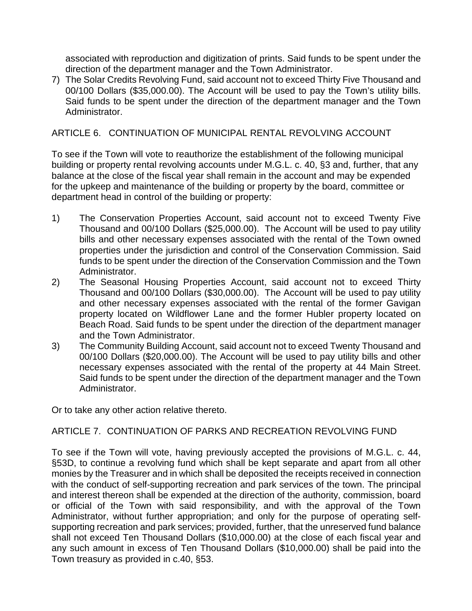associated with reproduction and digitization of prints. Said funds to be spent under the direction of the department manager and the Town Administrator.

7) The Solar Credits Revolving Fund, said account not to exceed Thirty Five Thousand and 00/100 Dollars (\$35,000.00). The Account will be used to pay the Town's utility bills. Said funds to be spent under the direction of the department manager and the Town Administrator.

#### ARTICLE 6. CONTINUATION OF MUNICIPAL RENTAL REVOLVING ACCOUNT

To see if the Town will vote to reauthorize the establishment of the following municipal building or property rental revolving accounts under M.G.L. c. 40, §3 and, further, that any balance at the close of the fiscal year shall remain in the account and may be expended for the upkeep and maintenance of the building or property by the board, committee or department head in control of the building or property:

- 1) The Conservation Properties Account, said account not to exceed Twenty Five Thousand and 00/100 Dollars (\$25,000.00). The Account will be used to pay utility bills and other necessary expenses associated with the rental of the Town owned properties under the jurisdiction and control of the Conservation Commission. Said funds to be spent under the direction of the Conservation Commission and the Town Administrator.
- 2) The Seasonal Housing Properties Account, said account not to exceed Thirty Thousand and 00/100 Dollars (\$30,000.00). The Account will be used to pay utility and other necessary expenses associated with the rental of the former Gavigan property located on Wildflower Lane and the former Hubler property located on Beach Road. Said funds to be spent under the direction of the department manager and the Town Administrator.
- 3) The Community Building Account, said account not to exceed Twenty Thousand and 00/100 Dollars (\$20,000.00). The Account will be used to pay utility bills and other necessary expenses associated with the rental of the property at 44 Main Street. Said funds to be spent under the direction of the department manager and the Town Administrator.

Or to take any other action relative thereto.

#### ARTICLE 7. CONTINUATION OF PARKS AND RECREATION REVOLVING FUND

To see if the Town will vote, having previously accepted the provisions of M.G.L. c. 44, §53D, to continue a revolving fund which shall be kept separate and apart from all other monies by the Treasurer and in which shall be deposited the receipts received in connection with the conduct of self-supporting recreation and park services of the town. The principal and interest thereon shall be expended at the direction of the authority, commission, board or official of the Town with said responsibility, and with the approval of the Town Administrator, without further appropriation; and only for the purpose of operating selfsupporting recreation and park services; provided, further, that the unreserved fund balance shall not exceed Ten Thousand Dollars (\$10,000.00) at the close of each fiscal year and any such amount in excess of Ten Thousand Dollars (\$10,000.00) shall be paid into the Town treasury as provided in c.40, §53.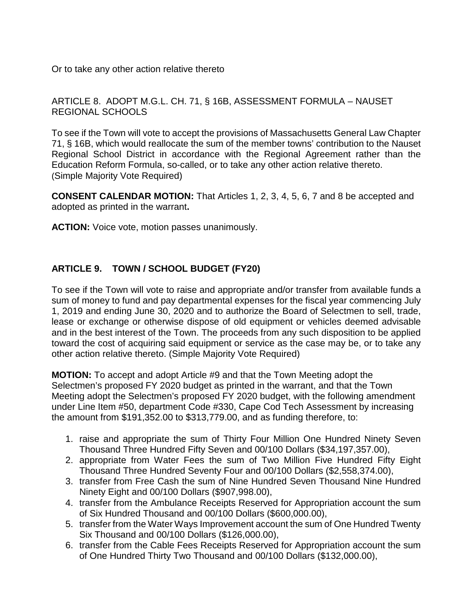Or to take any other action relative thereto

ARTICLE 8. ADOPT M.G.L. CH. 71, § 16B, ASSESSMENT FORMULA – NAUSET REGIONAL SCHOOLS

To see if the Town will vote to accept the provisions of Massachusetts General Law Chapter 71, § 16B, which would reallocate the sum of the member towns' contribution to the Nauset Regional School District in accordance with the Regional Agreement rather than the Education Reform Formula, so-called, or to take any other action relative thereto. (Simple Majority Vote Required)

**CONSENT CALENDAR MOTION:** That Articles 1, 2, 3, 4, 5, 6, 7 and 8 be accepted and adopted as printed in the warrant**.**

**ACTION:** Voice vote, motion passes unanimously.

# **ARTICLE 9. TOWN / SCHOOL BUDGET (FY20)**

To see if the Town will vote to raise and appropriate and/or transfer from available funds a sum of money to fund and pay departmental expenses for the fiscal year commencing July 1, 2019 and ending June 30, 2020 and to authorize the Board of Selectmen to sell, trade, lease or exchange or otherwise dispose of old equipment or vehicles deemed advisable and in the best interest of the Town. The proceeds from any such disposition to be applied toward the cost of acquiring said equipment or service as the case may be, or to take any other action relative thereto. (Simple Majority Vote Required)

**MOTION:** To accept and adopt Article #9 and that the Town Meeting adopt the Selectmen's proposed FY 2020 budget as printed in the warrant, and that the Town Meeting adopt the Selectmen's proposed FY 2020 budget, with the following amendment under Line Item #50, department Code #330, Cape Cod Tech Assessment by increasing the amount from \$191,352.00 to \$313,779.00, and as funding therefore, to:

- 1. raise and appropriate the sum of Thirty Four Million One Hundred Ninety Seven Thousand Three Hundred Fifty Seven and 00/100 Dollars (\$34,197,357.00),
- 2. appropriate from Water Fees the sum of Two Million Five Hundred Fifty Eight Thousand Three Hundred Seventy Four and 00/100 Dollars (\$2,558,374.00),
- 3. transfer from Free Cash the sum of Nine Hundred Seven Thousand Nine Hundred Ninety Eight and 00/100 Dollars (\$907,998.00),
- 4. transfer from the Ambulance Receipts Reserved for Appropriation account the sum of Six Hundred Thousand and 00/100 Dollars (\$600,000.00),
- 5. transfer from the Water Ways Improvement account the sum of One Hundred Twenty Six Thousand and 00/100 Dollars (\$126,000.00),
- 6. transfer from the Cable Fees Receipts Reserved for Appropriation account the sum of One Hundred Thirty Two Thousand and 00/100 Dollars (\$132,000.00),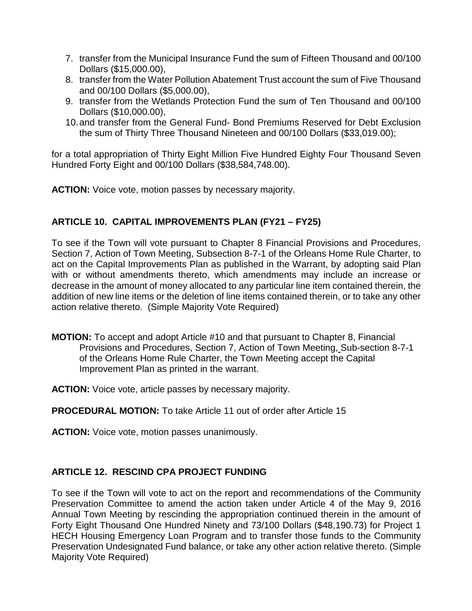- 7. transfer from the Municipal Insurance Fund the sum of Fifteen Thousand and 00/100 Dollars (\$15,000.00),
- 8. transfer from the Water Pollution Abatement Trust account the sum of Five Thousand and 00/100 Dollars (\$5,000.00),
- 9. transfer from the Wetlands Protection Fund the sum of Ten Thousand and 00/100 Dollars (\$10,000.00),
- 10.and transfer from the General Fund- Bond Premiums Reserved for Debt Exclusion the sum of Thirty Three Thousand Nineteen and 00/100 Dollars (\$33,019.00);

for a total appropriation of Thirty Eight Million Five Hundred Eighty Four Thousand Seven Hundred Forty Eight and 00/100 Dollars (\$38,584,748.00).

**ACTION:** Voice vote, motion passes by necessary majority.

## **ARTICLE 10. CAPITAL IMPROVEMENTS PLAN (FY21 – FY25)**

To see if the Town will vote pursuant to Chapter 8 Financial Provisions and Procedures, Section 7, Action of Town Meeting, Subsection 8-7-1 of the Orleans Home Rule Charter, to act on the Capital Improvements Plan as published in the Warrant, by adopting said Plan with or without amendments thereto, which amendments may include an increase or decrease in the amount of money allocated to any particular line item contained therein, the addition of new line items or the deletion of line items contained therein, or to take any other action relative thereto. (Simple Majority Vote Required)

**MOTION:** To accept and adopt Article #10 and that pursuant to Chapter 8, Financial Provisions and Procedures, Section 7, Action of Town Meeting, Sub-section 8-7-1 of the Orleans Home Rule Charter, the Town Meeting accept the Capital Improvement Plan as printed in the warrant.

**ACTION:** Voice vote, article passes by necessary majority.

**PROCEDURAL MOTION:** To take Article 11 out of order after Article 15

**ACTION:** Voice vote, motion passes unanimously.

#### **ARTICLE 12. RESCIND CPA PROJECT FUNDING**

To see if the Town will vote to act on the report and recommendations of the Community Preservation Committee to amend the action taken under Article 4 of the May 9, 2016 Annual Town Meeting by rescinding the appropriation continued therein in the amount of Forty Eight Thousand One Hundred Ninety and 73/100 Dollars (\$48,190.73) for Project 1 HECH Housing Emergency Loan Program and to transfer those funds to the Community Preservation Undesignated Fund balance, or take any other action relative thereto. (Simple Majority Vote Required)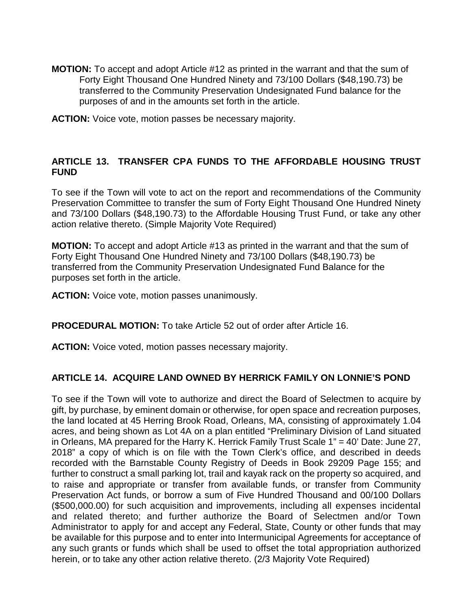- **MOTION:** To accept and adopt Article #12 as printed in the warrant and that the sum of Forty Eight Thousand One Hundred Ninety and 73/100 Dollars (\$48,190.73) be transferred to the Community Preservation Undesignated Fund balance for the purposes of and in the amounts set forth in the article.
- **ACTION:** Voice vote, motion passes be necessary majority.

### **ARTICLE 13. TRANSFER CPA FUNDS TO THE AFFORDABLE HOUSING TRUST FUND**

To see if the Town will vote to act on the report and recommendations of the Community Preservation Committee to transfer the sum of Forty Eight Thousand One Hundred Ninety and 73/100 Dollars (\$48,190.73) to the Affordable Housing Trust Fund, or take any other action relative thereto. (Simple Majority Vote Required)

**MOTION:** To accept and adopt Article #13 as printed in the warrant and that the sum of Forty Eight Thousand One Hundred Ninety and 73/100 Dollars (\$48,190.73) be transferred from the Community Preservation Undesignated Fund Balance for the purposes set forth in the article.

**ACTION:** Voice vote, motion passes unanimously.

**PROCEDURAL MOTION:** To take Article 52 out of order after Article 16.

**ACTION:** Voice voted, motion passes necessary majority.

#### **ARTICLE 14. ACQUIRE LAND OWNED BY HERRICK FAMILY ON LONNIE'S POND**

To see if the Town will vote to authorize and direct the Board of Selectmen to acquire by gift, by purchase, by eminent domain or otherwise, for open space and recreation purposes, the land located at 45 Herring Brook Road, Orleans, MA, consisting of approximately 1.04 acres, and being shown as Lot 4A on a plan entitled "Preliminary Division of Land situated in Orleans, MA prepared for the Harry K. Herrick Family Trust Scale 1" = 40' Date: June 27, 2018" a copy of which is on file with the Town Clerk's office, and described in deeds recorded with the Barnstable County Registry of Deeds in Book 29209 Page 155; and further to construct a small parking lot, trail and kayak rack on the property so acquired, and to raise and appropriate or transfer from available funds, or transfer from Community Preservation Act funds, or borrow a sum of Five Hundred Thousand and 00/100 Dollars (\$500,000.00) for such acquisition and improvements, including all expenses incidental and related thereto; and further authorize the Board of Selectmen and/or Town Administrator to apply for and accept any Federal, State, County or other funds that may be available for this purpose and to enter into Intermunicipal Agreements for acceptance of any such grants or funds which shall be used to offset the total appropriation authorized herein, or to take any other action relative thereto. (2/3 Majority Vote Required)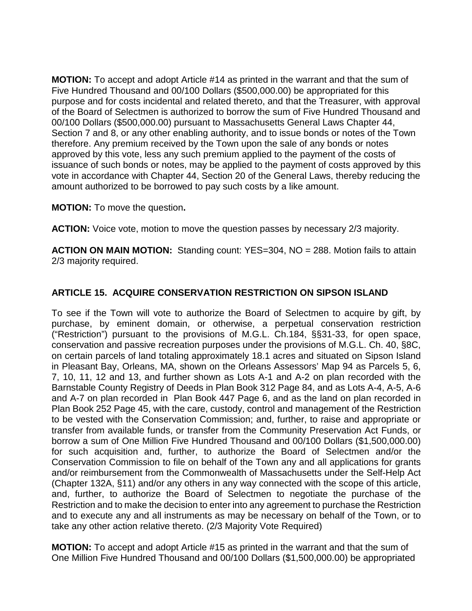**MOTION:** To accept and adopt Article #14 as printed in the warrant and that the sum of Five Hundred Thousand and 00/100 Dollars (\$500,000.00) be appropriated for this purpose and for costs incidental and related thereto, and that the Treasurer, with approval of the Board of Selectmen is authorized to borrow the sum of Five Hundred Thousand and 00/100 Dollars (\$500,000.00) pursuant to Massachusetts General Laws Chapter 44, Section 7 and 8, or any other enabling authority, and to issue bonds or notes of the Town therefore. Any premium received by the Town upon the sale of any bonds or notes approved by this vote, less any such premium applied to the payment of the costs of issuance of such bonds or notes, may be applied to the payment of costs approved by this vote in accordance with Chapter 44, Section 20 of the General Laws, thereby reducing the amount authorized to be borrowed to pay such costs by a like amount.

**MOTION:** To move the question**.**

**ACTION:** Voice vote, motion to move the question passes by necessary 2/3 majority.

**ACTION ON MAIN MOTION:** Standing count: YES=304, NO = 288. Motion fails to attain 2/3 majority required.

## **ARTICLE 15. ACQUIRE CONSERVATION RESTRICTION ON SIPSON ISLAND**

To see if the Town will vote to authorize the Board of Selectmen to acquire by gift, by purchase, by eminent domain, or otherwise, a perpetual conservation restriction ("Restriction") pursuant to the provisions of M.G.L. Ch.184, §§31-33, for open space, conservation and passive recreation purposes under the provisions of M.G.L. Ch. 40, §8C, on certain parcels of land totaling approximately 18.1 acres and situated on Sipson Island in Pleasant Bay, Orleans, MA, shown on the Orleans Assessors' Map 94 as Parcels 5, 6, 7, 10, 11, 12 and 13, and further shown as Lots A-1 and A-2 on plan recorded with the Barnstable County Registry of Deeds in Plan Book 312 Page 84, and as Lots A-4, A-5, A-6 and A-7 on plan recorded in Plan Book 447 Page 6, and as the land on plan recorded in Plan Book 252 Page 45, with the care, custody, control and management of the Restriction to be vested with the Conservation Commission; and, further, to raise and appropriate or transfer from available funds, or transfer from the Community Preservation Act Funds, or borrow a sum of One Million Five Hundred Thousand and 00/100 Dollars (\$1,500,000.00) for such acquisition and, further, to authorize the Board of Selectmen and/or the Conservation Commission to file on behalf of the Town any and all applications for grants and/or reimbursement from the Commonwealth of Massachusetts under the Self-Help Act (Chapter 132A, §11) and/or any others in any way connected with the scope of this article, and, further, to authorize the Board of Selectmen to negotiate the purchase of the Restriction and to make the decision to enter into any agreement to purchase the Restriction and to execute any and all instruments as may be necessary on behalf of the Town, or to take any other action relative thereto. (2/3 Majority Vote Required)

**MOTION:** To accept and adopt Article #15 as printed in the warrant and that the sum of One Million Five Hundred Thousand and 00/100 Dollars (\$1,500,000.00) be appropriated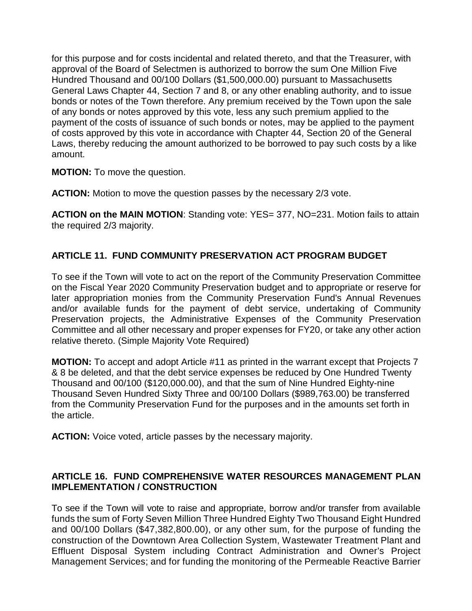for this purpose and for costs incidental and related thereto, and that the Treasurer, with approval of the Board of Selectmen is authorized to borrow the sum One Million Five Hundred Thousand and 00/100 Dollars (\$1,500,000.00) pursuant to Massachusetts General Laws Chapter 44, Section 7 and 8, or any other enabling authority, and to issue bonds or notes of the Town therefore. Any premium received by the Town upon the sale of any bonds or notes approved by this vote, less any such premium applied to the payment of the costs of issuance of such bonds or notes, may be applied to the payment of costs approved by this vote in accordance with Chapter 44, Section 20 of the General Laws, thereby reducing the amount authorized to be borrowed to pay such costs by a like amount.

**MOTION:** To move the question.

**ACTION:** Motion to move the question passes by the necessary 2/3 vote.

**ACTION on the MAIN MOTION**: Standing vote: YES= 377, NO=231. Motion fails to attain the required 2/3 majority.

## **ARTICLE 11. FUND COMMUNITY PRESERVATION ACT PROGRAM BUDGET**

To see if the Town will vote to act on the report of the Community Preservation Committee on the Fiscal Year 2020 Community Preservation budget and to appropriate or reserve for later appropriation monies from the Community Preservation Fund's Annual Revenues and/or available funds for the payment of debt service, undertaking of Community Preservation projects, the Administrative Expenses of the Community Preservation Committee and all other necessary and proper expenses for FY20, or take any other action relative thereto. (Simple Majority Vote Required)

**MOTION:** To accept and adopt Article #11 as printed in the warrant except that Projects 7 & 8 be deleted, and that the debt service expenses be reduced by One Hundred Twenty Thousand and 00/100 (\$120,000.00), and that the sum of Nine Hundred Eighty-nine Thousand Seven Hundred Sixty Three and 00/100 Dollars (\$989,763.00) be transferred from the Community Preservation Fund for the purposes and in the amounts set forth in the article.

**ACTION:** Voice voted, article passes by the necessary majority.

## **ARTICLE 16. FUND COMPREHENSIVE WATER RESOURCES MANAGEMENT PLAN IMPLEMENTATION / CONSTRUCTION**

To see if the Town will vote to raise and appropriate, borrow and/or transfer from available funds the sum of Forty Seven Million Three Hundred Eighty Two Thousand Eight Hundred and 00/100 Dollars (\$47,382,800.00), or any other sum, for the purpose of funding the construction of the Downtown Area Collection System, Wastewater Treatment Plant and Effluent Disposal System including Contract Administration and Owner's Project Management Services; and for funding the monitoring of the Permeable Reactive Barrier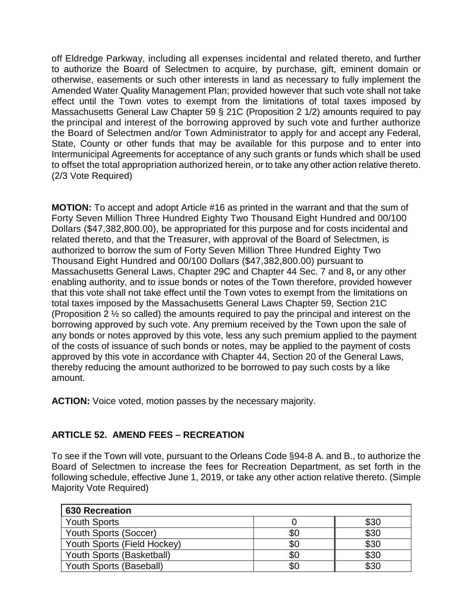off Eldredge Parkway, including all expenses incidental and related thereto, and further to authorize the Board of Selectmen to acquire, by purchase, gift, eminent domain or otherwise, easements or such other interests in land as necessary to fully implement the Amended Water Quality Management Plan; provided however that such vote shall not take effect until the Town votes to exempt from the limitations of total taxes imposed by Massachusetts General Law Chapter 59 § 21C (Proposition 2 1/2) amounts required to pay the principal and interest of the borrowing approved by such vote and further authorize the Board of Selectmen and/or Town Administrator to apply for and accept any Federal, State, County or other funds that may be available for this purpose and to enter into Intermunicipal Agreements for acceptance of any such grants or funds which shall be used to offset the total appropriation authorized herein, or to take any other action relative thereto. (2/3 Vote Required)

**MOTION:** To accept and adopt Article #16 as printed in the warrant and that the sum of Forty Seven Million Three Hundred Eighty Two Thousand Eight Hundred and 00/100 Dollars (\$47,382,800.00), be appropriated for this purpose and for costs incidental and related thereto, and that the Treasurer, with approval of the Board of Selectmen, is authorized to borrow the sum of Forty Seven Million Three Hundred Eighty Two Thousand Eight Hundred and 00/100 Dollars (\$47,382,800.00) pursuant to Massachusetts General Laws, Chapter 29C and Chapter 44 Sec. 7 and 8**,** or any other enabling authority, and to issue bonds or notes of the Town therefore, provided however that this vote shall not take effect until the Town votes to exempt from the limitations on total taxes imposed by the Massachusetts General Laws Chapter 59, Section 21C (Proposition 2 ½ so called) the amounts required to pay the principal and interest on the borrowing approved by such vote. Any premium received by the Town upon the sale of any bonds or notes approved by this vote, less any such premium applied to the payment of the costs of issuance of such bonds or notes, may be applied to the payment of costs approved by this vote in accordance with Chapter 44, Section 20 of the General Laws, thereby reducing the amount authorized to be borrowed to pay such costs by a like amount.

**ACTION:** Voice voted, motion passes by the necessary majority.

# **ARTICLE 52. AMEND FEES – RECREATION**

To see if the Town will vote, pursuant to the Orleans Code §94-8 A. and B., to authorize the Board of Selectmen to increase the fees for Recreation Department, as set forth in the following schedule, effective June 1, 2019, or take any other action relative thereto. (Simple Majority Vote Required)

| <b>630 Recreation</b>       |     |      |
|-----------------------------|-----|------|
| <b>Youth Sports</b>         |     | \$30 |
| Youth Sports (Soccer)       | \$0 | \$30 |
| Youth Sports (Field Hockey) | \$0 | \$30 |
| Youth Sports (Basketball)   | \$0 | \$30 |
| Youth Sports (Baseball)     | \$0 | \$30 |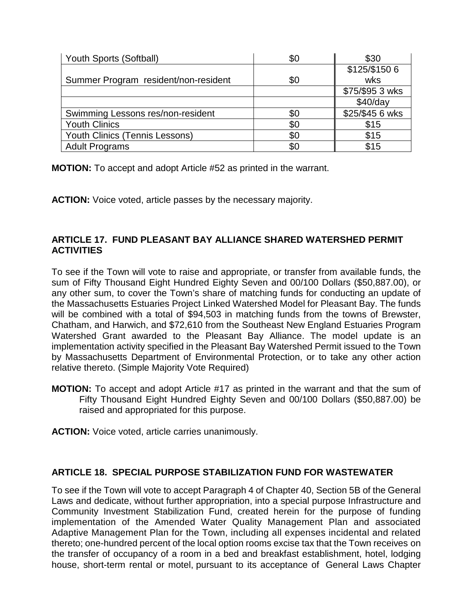| Youth Sports (Softball)              | \$0 | \$30            |
|--------------------------------------|-----|-----------------|
|                                      |     | \$125/\$1506    |
| Summer Program resident/non-resident | \$0 | wks             |
|                                      |     | \$75/\$95 3 wks |
|                                      |     | \$40/day        |
| Swimming Lessons res/non-resident    | \$0 | \$25/\$45 6 wks |
| <b>Youth Clinics</b>                 | \$0 | \$15            |
| Youth Clinics (Tennis Lessons)       | \$0 | \$15            |
| <b>Adult Programs</b>                | \$0 | \$15            |

**MOTION:** To accept and adopt Article #52 as printed in the warrant.

**ACTION:** Voice voted, article passes by the necessary majority.

# **ARTICLE 17. FUND PLEASANT BAY ALLIANCE SHARED WATERSHED PERMIT ACTIVITIES**

To see if the Town will vote to raise and appropriate, or transfer from available funds, the sum of Fifty Thousand Eight Hundred Eighty Seven and 00/100 Dollars (\$50,887.00), or any other sum, to cover the Town's share of matching funds for conducting an update of the Massachusetts Estuaries Project Linked Watershed Model for Pleasant Bay. The funds will be combined with a total of \$94,503 in matching funds from the towns of Brewster, Chatham, and Harwich, and \$72,610 from the Southeast New England Estuaries Program Watershed Grant awarded to the Pleasant Bay Alliance. The model update is an implementation activity specified in the Pleasant Bay Watershed Permit issued to the Town by Massachusetts Department of Environmental Protection, or to take any other action relative thereto. (Simple Majority Vote Required)

**MOTION:** To accept and adopt Article #17 as printed in the warrant and that the sum of Fifty Thousand Eight Hundred Eighty Seven and 00/100 Dollars (\$50,887.00) be raised and appropriated for this purpose.

**ACTION:** Voice voted, article carries unanimously.

# **ARTICLE 18. SPECIAL PURPOSE STABILIZATION FUND FOR WASTEWATER**

To see if the Town will vote to accept Paragraph 4 of Chapter 40, Section 5B of the General Laws and dedicate, without further appropriation, into a special purpose Infrastructure and Community Investment Stabilization Fund, created herein for the purpose of funding implementation of the Amended Water Quality Management Plan and associated Adaptive Management Plan for the Town, including all expenses incidental and related thereto; one-hundred percent of the local option rooms excise tax that the Town receives on the transfer of occupancy of a room in a bed and breakfast establishment, hotel, lodging house, short-term rental or motel, pursuant to its acceptance of General Laws Chapter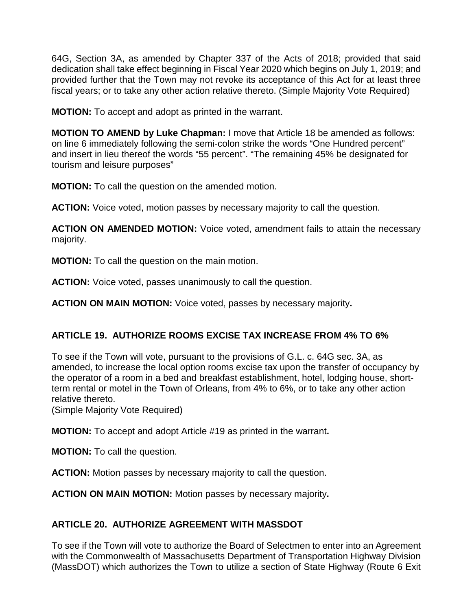64G, Section 3A, as amended by Chapter 337 of the Acts of 2018; provided that said dedication shall take effect beginning in Fiscal Year 2020 which begins on July 1, 2019; and provided further that the Town may not revoke its acceptance of this Act for at least three fiscal years; or to take any other action relative thereto. (Simple Majority Vote Required)

**MOTION:** To accept and adopt as printed in the warrant.

**MOTION TO AMEND by Luke Chapman:** I move that Article 18 be amended as follows: on line 6 immediately following the semi-colon strike the words "One Hundred percent" and insert in lieu thereof the words "55 percent". "The remaining 45% be designated for tourism and leisure purposes"

**MOTION:** To call the question on the amended motion.

**ACTION:** Voice voted, motion passes by necessary majority to call the question.

**ACTION ON AMENDED MOTION:** Voice voted, amendment fails to attain the necessary majority.

**MOTION:** To call the question on the main motion.

**ACTION:** Voice voted, passes unanimously to call the question.

**ACTION ON MAIN MOTION:** Voice voted, passes by necessary majority**.**

# **ARTICLE 19. AUTHORIZE ROOMS EXCISE TAX INCREASE FROM 4% TO 6%**

To see if the Town will vote, pursuant to the provisions of G.L. c. 64G sec. 3A, as amended, to increase the local option rooms excise tax upon the transfer of occupancy by the operator of a room in a bed and breakfast establishment, hotel, lodging house, shortterm rental or motel in the Town of Orleans, from 4% to 6%, or to take any other action relative thereto.

(Simple Majority Vote Required)

**MOTION:** To accept and adopt Article #19 as printed in the warrant**.**

**MOTION:** To call the question.

**ACTION:** Motion passes by necessary majority to call the question.

**ACTION ON MAIN MOTION:** Motion passes by necessary majority**.**

# **ARTICLE 20. AUTHORIZE AGREEMENT WITH MASSDOT**

To see if the Town will vote to authorize the Board of Selectmen to enter into an Agreement with the Commonwealth of Massachusetts Department of Transportation Highway Division (MassDOT) which authorizes the Town to utilize a section of State Highway (Route 6 Exit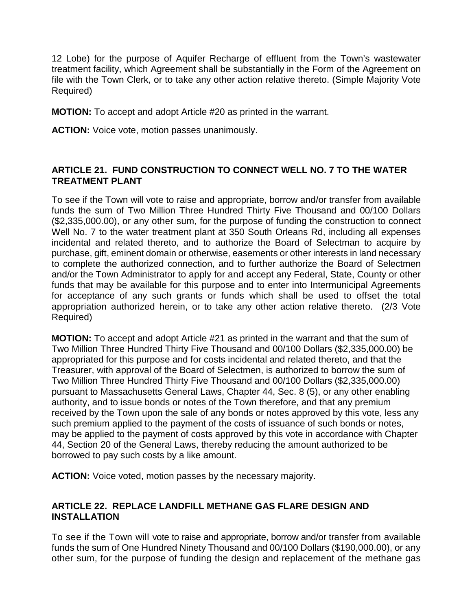12 Lobe) for the purpose of Aquifer Recharge of effluent from the Town's wastewater treatment facility, which Agreement shall be substantially in the Form of the Agreement on file with the Town Clerk, or to take any other action relative thereto. (Simple Majority Vote Required)

**MOTION:** To accept and adopt Article #20 as printed in the warrant.

**ACTION:** Voice vote, motion passes unanimously.

### **ARTICLE 21. FUND CONSTRUCTION TO CONNECT WELL NO. 7 TO THE WATER TREATMENT PLANT**

To see if the Town will vote to raise and appropriate, borrow and/or transfer from available funds the sum of Two Million Three Hundred Thirty Five Thousand and 00/100 Dollars (\$2,335,000.00), or any other sum, for the purpose of funding the construction to connect Well No. 7 to the water treatment plant at 350 South Orleans Rd, including all expenses incidental and related thereto, and to authorize the Board of Selectman to acquire by purchase, gift, eminent domain or otherwise, easements or other interests in land necessary to complete the authorized connection, and to further authorize the Board of Selectmen and/or the Town Administrator to apply for and accept any Federal, State, County or other funds that may be available for this purpose and to enter into Intermunicipal Agreements for acceptance of any such grants or funds which shall be used to offset the total appropriation authorized herein, or to take any other action relative thereto. (2/3 Vote Required)

**MOTION:** To accept and adopt Article #21 as printed in the warrant and that the sum of Two Million Three Hundred Thirty Five Thousand and 00/100 Dollars (\$2,335,000.00) be appropriated for this purpose and for costs incidental and related thereto, and that the Treasurer, with approval of the Board of Selectmen, is authorized to borrow the sum of Two Million Three Hundred Thirty Five Thousand and 00/100 Dollars (\$2,335,000.00) pursuant to Massachusetts General Laws, Chapter 44, Sec. 8 (5), or any other enabling authority, and to issue bonds or notes of the Town therefore, and that any premium received by the Town upon the sale of any bonds or notes approved by this vote, less any such premium applied to the payment of the costs of issuance of such bonds or notes, may be applied to the payment of costs approved by this vote in accordance with Chapter 44, Section 20 of the General Laws, thereby reducing the amount authorized to be borrowed to pay such costs by a like amount.

**ACTION:** Voice voted, motion passes by the necessary majority.

## **ARTICLE 22. REPLACE LANDFILL METHANE GAS FLARE DESIGN AND INSTALLATION**

To see if the Town will vote to raise and appropriate, borrow and/or transfer from available funds the sum of One Hundred Ninety Thousand and 00/100 Dollars (\$190,000.00), or any other sum, for the purpose of funding the design and replacement of the methane gas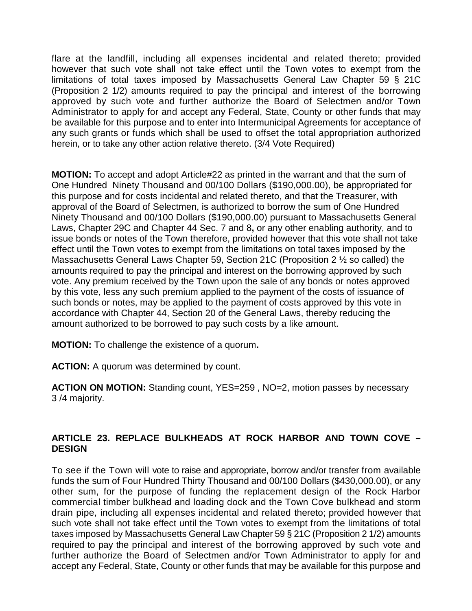flare at the landfill, including all expenses incidental and related thereto; provided however that such vote shall not take effect until the Town votes to exempt from the limitations of total taxes imposed by Massachusetts General Law Chapter 59 § 21C (Proposition 2 1/2) amounts required to pay the principal and interest of the borrowing approved by such vote and further authorize the Board of Selectmen and/or Town Administrator to apply for and accept any Federal, State, County or other funds that may be available for this purpose and to enter into Intermunicipal Agreements for acceptance of any such grants or funds which shall be used to offset the total appropriation authorized herein, or to take any other action relative thereto. (3/4 Vote Required)

**MOTION:** To accept and adopt Article#22 as printed in the warrant and that the sum of One Hundred Ninety Thousand and 00/100 Dollars (\$190,000.00), be appropriated for this purpose and for costs incidental and related thereto, and that the Treasurer, with approval of the Board of Selectmen, is authorized to borrow the sum of One Hundred Ninety Thousand and 00/100 Dollars (\$190,000.00) pursuant to Massachusetts General Laws, Chapter 29C and Chapter 44 Sec. 7 and 8**,** or any other enabling authority, and to issue bonds or notes of the Town therefore, provided however that this vote shall not take effect until the Town votes to exempt from the limitations on total taxes imposed by the Massachusetts General Laws Chapter 59, Section 21C (Proposition 2 ½ so called) the amounts required to pay the principal and interest on the borrowing approved by such vote. Any premium received by the Town upon the sale of any bonds or notes approved by this vote, less any such premium applied to the payment of the costs of issuance of such bonds or notes, may be applied to the payment of costs approved by this vote in accordance with Chapter 44, Section 20 of the General Laws, thereby reducing the amount authorized to be borrowed to pay such costs by a like amount.

**MOTION:** To challenge the existence of a quorum**.**

**ACTION:** A quorum was determined by count.

**ACTION ON MOTION:** Standing count, YES=259 , NO=2, motion passes by necessary 3 /4 majority.

## **ARTICLE 23. REPLACE BULKHEADS AT ROCK HARBOR AND TOWN COVE – DESIGN**

To see if the Town will vote to raise and appropriate, borrow and/or transfer from available funds the sum of Four Hundred Thirty Thousand and 00/100 Dollars (\$430,000.00), or any other sum, for the purpose of funding the replacement design of the Rock Harbor commercial timber bulkhead and loading dock and the Town Cove bulkhead and storm drain pipe, including all expenses incidental and related thereto; provided however that such vote shall not take effect until the Town votes to exempt from the limitations of total taxes imposed by Massachusetts General Law Chapter 59 § 21C (Proposition 2 1/2) amounts required to pay the principal and interest of the borrowing approved by such vote and further authorize the Board of Selectmen and/or Town Administrator to apply for and accept any Federal, State, County or other funds that may be available for this purpose and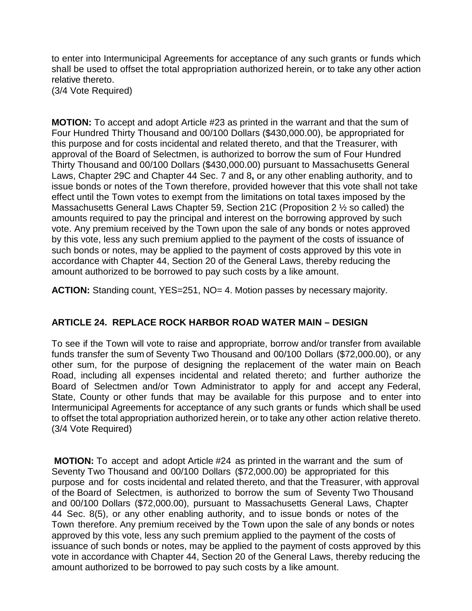to enter into Intermunicipal Agreements for acceptance of any such grants or funds which shall be used to offset the total appropriation authorized herein, or to take any other action relative thereto.

(3/4 Vote Required)

**MOTION:** To accept and adopt Article #23 as printed in the warrant and that the sum of Four Hundred Thirty Thousand and 00/100 Dollars (\$430,000.00), be appropriated for this purpose and for costs incidental and related thereto, and that the Treasurer, with approval of the Board of Selectmen, is authorized to borrow the sum of Four Hundred Thirty Thousand and 00/100 Dollars (\$430,000.00) pursuant to Massachusetts General Laws, Chapter 29C and Chapter 44 Sec. 7 and 8**,** or any other enabling authority, and to issue bonds or notes of the Town therefore, provided however that this vote shall not take effect until the Town votes to exempt from the limitations on total taxes imposed by the Massachusetts General Laws Chapter 59, Section 21C (Proposition 2 ½ so called) the amounts required to pay the principal and interest on the borrowing approved by such vote. Any premium received by the Town upon the sale of any bonds or notes approved by this vote, less any such premium applied to the payment of the costs of issuance of such bonds or notes, may be applied to the payment of costs approved by this vote in accordance with Chapter 44, Section 20 of the General Laws, thereby reducing the amount authorized to be borrowed to pay such costs by a like amount.

**ACTION:** Standing count, YES=251, NO= 4. Motion passes by necessary majority.

# **ARTICLE 24. REPLACE ROCK HARBOR ROAD WATER MAIN – DESIGN**

To see if the Town will vote to raise and appropriate, borrow and/or transfer from available funds transfer the sum of Seventy Two Thousand and 00/100 Dollars (\$72,000.00), or any other sum, for the purpose of designing the replacement of the water main on Beach Road, including all expenses incidental and related thereto; and further authorize the Board of Selectmen and/or Town Administrator to apply for and accept any Federal, State, County or other funds that may be available for this purpose and to enter into Intermunicipal Agreements for acceptance of any such grants or funds which shall be used to offset the total appropriation authorized herein, or to take any other action relative thereto. (3/4 Vote Required)

**MOTION:** To accept and adopt Article #24 as printed in the warrant and the sum of Seventy Two Thousand and 00/100 Dollars (\$72,000.00) be appropriated for this purpose and for costs incidental and related thereto, and that the Treasurer, with approval of the Board of Selectmen, is authorized to borrow the sum of Seventy Two Thousand and 00/100 Dollars (\$72,000.00), pursuant to Massachusetts General Laws, Chapter 44 Sec. 8(5), or any other enabling authority, and to issue bonds or notes of the Town therefore. Any premium received by the Town upon the sale of any bonds or notes approved by this vote, less any such premium applied to the payment of the costs of issuance of such bonds or notes, may be applied to the payment of costs approved by this vote in accordance with Chapter 44, Section 20 of the General Laws, thereby reducing the amount authorized to be borrowed to pay such costs by a like amount.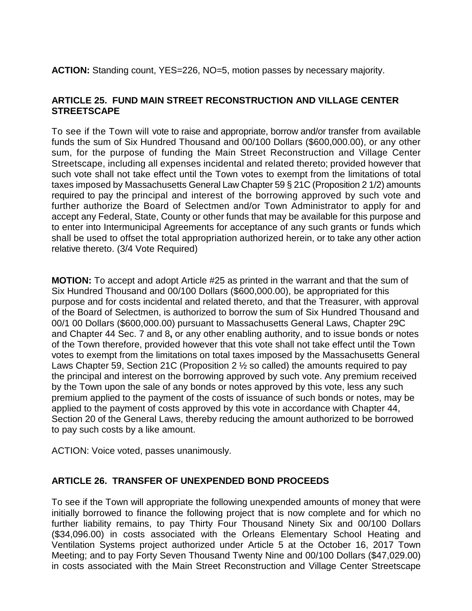**ACTION:** Standing count, YES=226, NO=5, motion passes by necessary majority.

## **ARTICLE 25. FUND MAIN STREET RECONSTRUCTION AND VILLAGE CENTER STREETSCAPE**

To see if the Town will vote to raise and appropriate, borrow and/or transfer from available funds the sum of Six Hundred Thousand and 00/100 Dollars (\$600,000.00), or any other sum, for the purpose of funding the Main Street Reconstruction and Village Center Streetscape, including all expenses incidental and related thereto; provided however that such vote shall not take effect until the Town votes to exempt from the limitations of total taxes imposed by Massachusetts General Law Chapter 59 § 21C (Proposition 2 1/2) amounts required to pay the principal and interest of the borrowing approved by such vote and further authorize the Board of Selectmen and/or Town Administrator to apply for and accept any Federal, State, County or other funds that may be available for this purpose and to enter into Intermunicipal Agreements for acceptance of any such grants or funds which shall be used to offset the total appropriation authorized herein, or to take any other action relative thereto. (3/4 Vote Required)

**MOTION:** To accept and adopt Article #25 as printed in the warrant and that the sum of Six Hundred Thousand and 00/100 Dollars (\$600,000.00), be appropriated for this purpose and for costs incidental and related thereto, and that the Treasurer, with approval of the Board of Selectmen, is authorized to borrow the sum of Six Hundred Thousand and 00/1 00 Dollars (\$600,000.00) pursuant to Massachusetts General Laws, Chapter 29C and Chapter 44 Sec. 7 and 8**,** or any other enabling authority, and to issue bonds or notes of the Town therefore, provided however that this vote shall not take effect until the Town votes to exempt from the limitations on total taxes imposed by the Massachusetts General Laws Chapter 59, Section 21C (Proposition 2 ½ so called) the amounts required to pay the principal and interest on the borrowing approved by such vote. Any premium received by the Town upon the sale of any bonds or notes approved by this vote, less any such premium applied to the payment of the costs of issuance of such bonds or notes, may be applied to the payment of costs approved by this vote in accordance with Chapter 44, Section 20 of the General Laws, thereby reducing the amount authorized to be borrowed to pay such costs by a like amount.

ACTION: Voice voted, passes unanimously.

#### **ARTICLE 26. TRANSFER OF UNEXPENDED BOND PROCEEDS**

To see if the Town will appropriate the following unexpended amounts of money that were initially borrowed to finance the following project that is now complete and for which no further liability remains, to pay Thirty Four Thousand Ninety Six and 00/100 Dollars (\$34,096.00) in costs associated with the Orleans Elementary School Heating and Ventilation Systems project authorized under Article 5 at the October 16, 2017 Town Meeting; and to pay Forty Seven Thousand Twenty Nine and 00/100 Dollars (\$47,029.00) in costs associated with the Main Street Reconstruction and Village Center Streetscape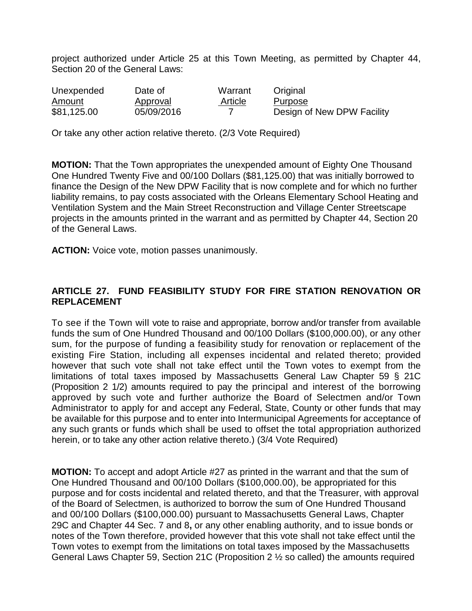project authorized under Article 25 at this Town Meeting, as permitted by Chapter 44, Section 20 of the General Laws:

| Unexpended  | Date of    | Warrant | Original                   |
|-------------|------------|---------|----------------------------|
| Amount      | Approval   | Article | Purpose                    |
| \$81,125.00 | 05/09/2016 |         | Design of New DPW Facility |

Or take any other action relative thereto. (2/3 Vote Required)

**MOTION:** That the Town appropriates the unexpended amount of Eighty One Thousand One Hundred Twenty Five and 00/100 Dollars (\$81,125.00) that was initially borrowed to finance the Design of the New DPW Facility that is now complete and for which no further liability remains, to pay costs associated with the Orleans Elementary School Heating and Ventilation System and the Main Street Reconstruction and Village Center Streetscape projects in the amounts printed in the warrant and as permitted by Chapter 44, Section 20 of the General Laws.

**ACTION:** Voice vote, motion passes unanimously.

### **ARTICLE 27. FUND FEASIBILITY STUDY FOR FIRE STATION RENOVATION OR REPLACEMENT**

To see if the Town will vote to raise and appropriate, borrow and/or transfer from available funds the sum of One Hundred Thousand and 00/100 Dollars (\$100,000.00), or any other sum, for the purpose of funding a feasibility study for renovation or replacement of the existing Fire Station, including all expenses incidental and related thereto; provided however that such vote shall not take effect until the Town votes to exempt from the limitations of total taxes imposed by Massachusetts General Law Chapter 59 § 21C (Proposition 2 1/2) amounts required to pay the principal and interest of the borrowing approved by such vote and further authorize the Board of Selectmen and/or Town Administrator to apply for and accept any Federal, State, County or other funds that may be available for this purpose and to enter into Intermunicipal Agreements for acceptance of any such grants or funds which shall be used to offset the total appropriation authorized herein, or to take any other action relative thereto.) (3/4 Vote Required)

**MOTION:** To accept and adopt Article #27 as printed in the warrant and that the sum of One Hundred Thousand and 00/100 Dollars (\$100,000.00), be appropriated for this purpose and for costs incidental and related thereto, and that the Treasurer, with approval of the Board of Selectmen, is authorized to borrow the sum of One Hundred Thousand and 00/100 Dollars (\$100,000.00) pursuant to Massachusetts General Laws, Chapter 29C and Chapter 44 Sec. 7 and 8**,** or any other enabling authority, and to issue bonds or notes of the Town therefore, provided however that this vote shall not take effect until the Town votes to exempt from the limitations on total taxes imposed by the Massachusetts General Laws Chapter 59, Section 21C (Proposition 2 ½ so called) the amounts required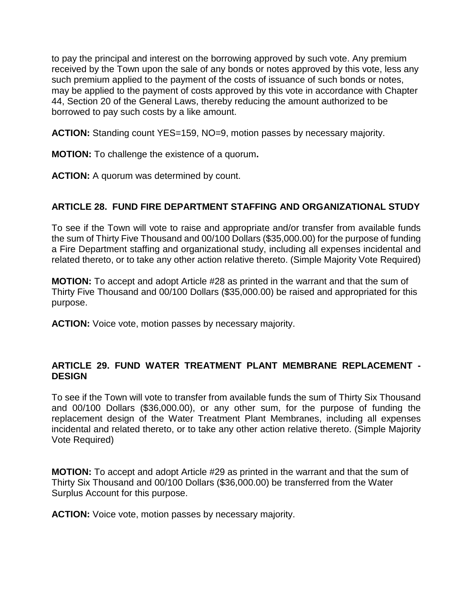to pay the principal and interest on the borrowing approved by such vote. Any premium received by the Town upon the sale of any bonds or notes approved by this vote, less any such premium applied to the payment of the costs of issuance of such bonds or notes, may be applied to the payment of costs approved by this vote in accordance with Chapter 44, Section 20 of the General Laws, thereby reducing the amount authorized to be borrowed to pay such costs by a like amount.

**ACTION:** Standing count YES=159, NO=9, motion passes by necessary majority.

**MOTION:** To challenge the existence of a quorum**.**

**ACTION:** A quorum was determined by count.

## **ARTICLE 28. FUND FIRE DEPARTMENT STAFFING AND ORGANIZATIONAL STUDY**

To see if the Town will vote to raise and appropriate and/or transfer from available funds the sum of Thirty Five Thousand and 00/100 Dollars (\$35,000.00) for the purpose of funding a Fire Department staffing and organizational study, including all expenses incidental and related thereto, or to take any other action relative thereto. (Simple Majority Vote Required)

**MOTION:** To accept and adopt Article #28 as printed in the warrant and that the sum of Thirty Five Thousand and 00/100 Dollars (\$35,000.00) be raised and appropriated for this purpose.

**ACTION:** Voice vote, motion passes by necessary majority.

## **ARTICLE 29. FUND WATER TREATMENT PLANT MEMBRANE REPLACEMENT - DESIGN**

To see if the Town will vote to transfer from available funds the sum of Thirty Six Thousand and 00/100 Dollars (\$36,000.00), or any other sum, for the purpose of funding the replacement design of the Water Treatment Plant Membranes, including all expenses incidental and related thereto, or to take any other action relative thereto. (Simple Majority Vote Required)

**MOTION:** To accept and adopt Article #29 as printed in the warrant and that the sum of Thirty Six Thousand and 00/100 Dollars (\$36,000.00) be transferred from the Water Surplus Account for this purpose.

**ACTION:** Voice vote, motion passes by necessary majority.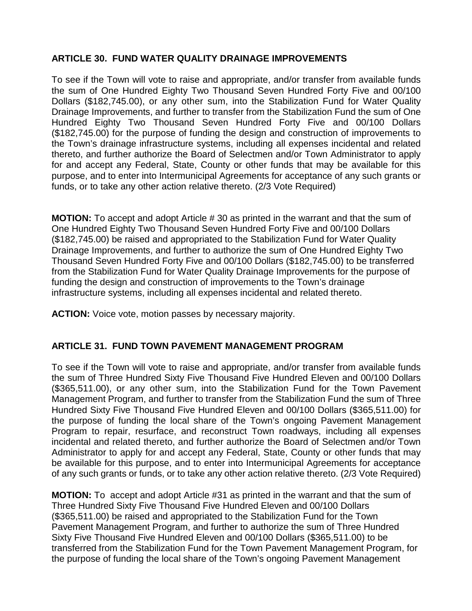# **ARTICLE 30. FUND WATER QUALITY DRAINAGE IMPROVEMENTS**

To see if the Town will vote to raise and appropriate, and/or transfer from available funds the sum of One Hundred Eighty Two Thousand Seven Hundred Forty Five and 00/100 Dollars (\$182,745.00), or any other sum, into the Stabilization Fund for Water Quality Drainage Improvements, and further to transfer from the Stabilization Fund the sum of One Hundred Eighty Two Thousand Seven Hundred Forty Five and 00/100 Dollars (\$182,745.00) for the purpose of funding the design and construction of improvements to the Town's drainage infrastructure systems, including all expenses incidental and related thereto, and further authorize the Board of Selectmen and/or Town Administrator to apply for and accept any Federal, State, County or other funds that may be available for this purpose, and to enter into Intermunicipal Agreements for acceptance of any such grants or funds, or to take any other action relative thereto. (2/3 Vote Required)

**MOTION:** To accept and adopt Article # 30 as printed in the warrant and that the sum of One Hundred Eighty Two Thousand Seven Hundred Forty Five and 00/100 Dollars (\$182,745.00) be raised and appropriated to the Stabilization Fund for Water Quality Drainage Improvements, and further to authorize the sum of One Hundred Eighty Two Thousand Seven Hundred Forty Five and 00/100 Dollars (\$182,745.00) to be transferred from the Stabilization Fund for Water Quality Drainage Improvements for the purpose of funding the design and construction of improvements to the Town's drainage infrastructure systems, including all expenses incidental and related thereto.

**ACTION:** Voice vote, motion passes by necessary majority.

#### **ARTICLE 31. FUND TOWN PAVEMENT MANAGEMENT PROGRAM**

To see if the Town will vote to raise and appropriate, and/or transfer from available funds the sum of Three Hundred Sixty Five Thousand Five Hundred Eleven and 00/100 Dollars (\$365,511.00), or any other sum, into the Stabilization Fund for the Town Pavement Management Program, and further to transfer from the Stabilization Fund the sum of Three Hundred Sixty Five Thousand Five Hundred Eleven and 00/100 Dollars (\$365,511.00) for the purpose of funding the local share of the Town's ongoing Pavement Management Program to repair, resurface, and reconstruct Town roadways, including all expenses incidental and related thereto, and further authorize the Board of Selectmen and/or Town Administrator to apply for and accept any Federal, State, County or other funds that may be available for this purpose, and to enter into Intermunicipal Agreements for acceptance of any such grants or funds, or to take any other action relative thereto. (2/3 Vote Required)

**MOTION:** To accept and adopt Article #31 as printed in the warrant and that the sum of Three Hundred Sixty Five Thousand Five Hundred Eleven and 00/100 Dollars (\$365,511.00) be raised and appropriated to the Stabilization Fund for the Town Pavement Management Program, and further to authorize the sum of Three Hundred Sixty Five Thousand Five Hundred Eleven and 00/100 Dollars (\$365,511.00) to be transferred from the Stabilization Fund for the Town Pavement Management Program, for the purpose of funding the local share of the Town's ongoing Pavement Management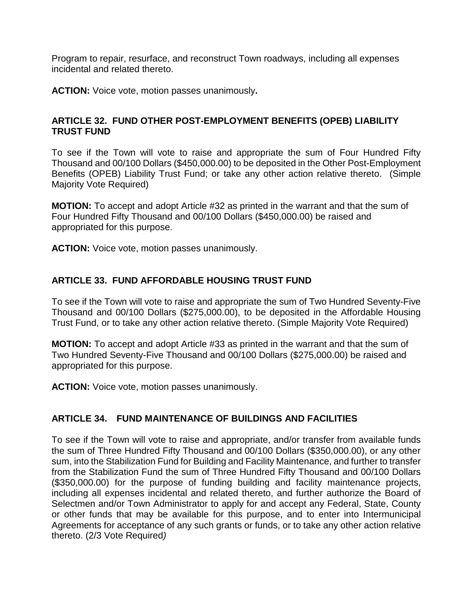Program to repair, resurface, and reconstruct Town roadways, including all expenses incidental and related thereto.

**ACTION:** Voice vote, motion passes unanimously**.**

### **ARTICLE 32. FUND OTHER POST-EMPLOYMENT BENEFITS (OPEB) LIABILITY TRUST FUND**

To see if the Town will vote to raise and appropriate the sum of Four Hundred Fifty Thousand and 00/100 Dollars (\$450,000.00) to be deposited in the Other Post-Employment Benefits (OPEB) Liability Trust Fund; or take any other action relative thereto. (Simple Majority Vote Required)

**MOTION:** To accept and adopt Article #32 as printed in the warrant and that the sum of Four Hundred Fifty Thousand and 00/100 Dollars (\$450,000.00) be raised and appropriated for this purpose.

**ACTION:** Voice vote, motion passes unanimously.

## **ARTICLE 33. FUND AFFORDABLE HOUSING TRUST FUND**

To see if the Town will vote to raise and appropriate the sum of Two Hundred Seventy-Five Thousand and 00/100 Dollars (\$275,000.00), to be deposited in the Affordable Housing Trust Fund, or to take any other action relative thereto. (Simple Majority Vote Required)

**MOTION:** To accept and adopt Article #33 as printed in the warrant and that the sum of Two Hundred Seventy-Five Thousand and 00/100 Dollars (\$275,000.00) be raised and appropriated for this purpose.

**ACTION:** Voice vote, motion passes unanimously.

#### **ARTICLE 34. FUND MAINTENANCE OF BUILDINGS AND FACILITIES**

To see if the Town will vote to raise and appropriate, and/or transfer from available funds the sum of Three Hundred Fifty Thousand and 00/100 Dollars (\$350,000.00), or any other sum, into the Stabilization Fund for Building and Facility Maintenance, and further to transfer from the Stabilization Fund the sum of Three Hundred Fifty Thousand and 00/100 Dollars (\$350,000.00) for the purpose of funding building and facility maintenance projects, including all expenses incidental and related thereto, and further authorize the Board of Selectmen and/or Town Administrator to apply for and accept any Federal, State, County or other funds that may be available for this purpose, and to enter into Intermunicipal Agreements for acceptance of any such grants or funds, or to take any other action relative thereto. (2/3 Vote Required*)*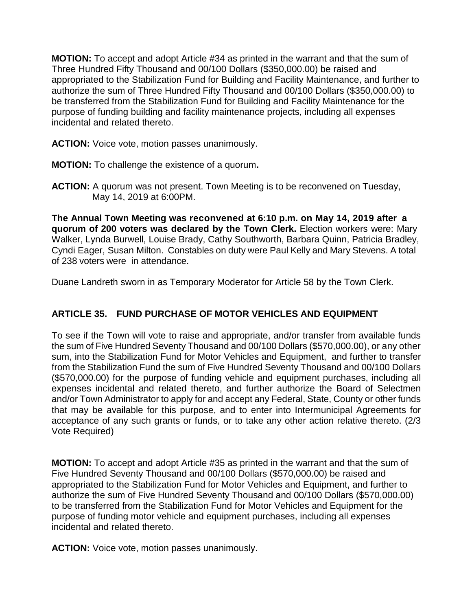**MOTION:** To accept and adopt Article #34 as printed in the warrant and that the sum of Three Hundred Fifty Thousand and 00/100 Dollars (\$350,000.00) be raised and appropriated to the Stabilization Fund for Building and Facility Maintenance, and further to authorize the sum of Three Hundred Fifty Thousand and 00/100 Dollars (\$350,000.00) to be transferred from the Stabilization Fund for Building and Facility Maintenance for the purpose of funding building and facility maintenance projects, including all expenses incidental and related thereto.

**ACTION:** Voice vote, motion passes unanimously.

**MOTION:** To challenge the existence of a quorum**.**

**ACTION:** A quorum was not present. Town Meeting is to be reconvened on Tuesday, May 14, 2019 at 6:00PM.

**The Annual Town Meeting was reconvened at 6:10 p.m. on May 14, 2019 after a quorum of 200 voters was declared by the Town Clerk.** Election workers were: Mary Walker, Lynda Burwell, Louise Brady, Cathy Southworth, Barbara Quinn, Patricia Bradley, Cyndi Eager, Susan Milton. Constables on duty were Paul Kelly and Mary Stevens. A total of 238 voters were in attendance.

Duane Landreth sworn in as Temporary Moderator for Article 58 by the Town Clerk.

# **ARTICLE 35. FUND PURCHASE OF MOTOR VEHICLES AND EQUIPMENT**

To see if the Town will vote to raise and appropriate, and/or transfer from available funds the sum of Five Hundred Seventy Thousand and 00/100 Dollars (\$570,000.00), or any other sum, into the Stabilization Fund for Motor Vehicles and Equipment, and further to transfer from the Stabilization Fund the sum of Five Hundred Seventy Thousand and 00/100 Dollars (\$570,000.00) for the purpose of funding vehicle and equipment purchases, including all expenses incidental and related thereto, and further authorize the Board of Selectmen and/or Town Administrator to apply for and accept any Federal, State, County or other funds that may be available for this purpose, and to enter into Intermunicipal Agreements for acceptance of any such grants or funds, or to take any other action relative thereto. (2/3 Vote Required)

**MOTION:** To accept and adopt Article #35 as printed in the warrant and that the sum of Five Hundred Seventy Thousand and 00/100 Dollars (\$570,000.00) be raised and appropriated to the Stabilization Fund for Motor Vehicles and Equipment, and further to authorize the sum of Five Hundred Seventy Thousand and 00/100 Dollars (\$570,000.00) to be transferred from the Stabilization Fund for Motor Vehicles and Equipment for the purpose of funding motor vehicle and equipment purchases, including all expenses incidental and related thereto.

**ACTION:** Voice vote, motion passes unanimously.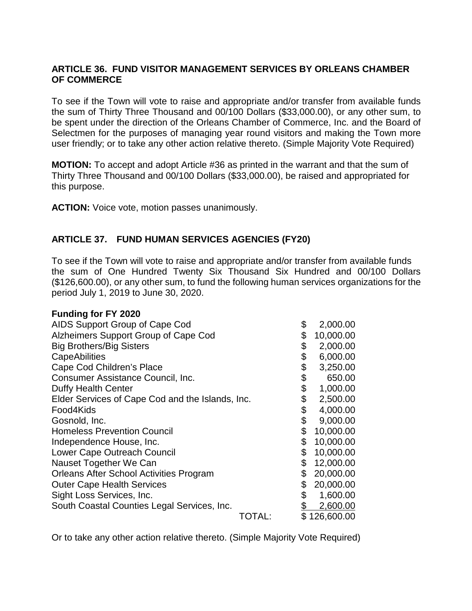## **ARTICLE 36. FUND VISITOR MANAGEMENT SERVICES BY ORLEANS CHAMBER OF COMMERCE**

To see if the Town will vote to raise and appropriate and/or transfer from available funds the sum of Thirty Three Thousand and 00/100 Dollars (\$33,000.00), or any other sum, to be spent under the direction of the Orleans Chamber of Commerce, Inc. and the Board of Selectmen for the purposes of managing year round visitors and making the Town more user friendly; or to take any other action relative thereto. (Simple Majority Vote Required)

**MOTION:** To accept and adopt Article #36 as printed in the warrant and that the sum of Thirty Three Thousand and 00/100 Dollars (\$33,000.00), be raised and appropriated for this purpose.

**ACTION:** Voice vote, motion passes unanimously.

# **ARTICLE 37. FUND HUMAN SERVICES AGENCIES (FY20)**

To see if the Town will vote to raise and appropriate and/or transfer from available funds the sum of One Hundred Twenty Six Thousand Six Hundred and 00/100 Dollars (\$126,600.00), or any other sum, to fund the following human services organizations for the period July 1, 2019 to June 30, 2020.

#### **Funding for FY 2020**

| AIDS Support Group of Cape Cod                   |        | \$<br>2,000.00  |
|--------------------------------------------------|--------|-----------------|
| Alzheimers Support Group of Cape Cod             |        | \$<br>10,000.00 |
| <b>Big Brothers/Big Sisters</b>                  |        | \$<br>2,000.00  |
| <b>CapeAbilities</b>                             |        | \$<br>6,000.00  |
| Cape Cod Children's Place                        |        | \$<br>3,250.00  |
| Consumer Assistance Council, Inc.                |        | \$<br>650.00    |
| <b>Duffy Health Center</b>                       |        | \$<br>1,000.00  |
| Elder Services of Cape Cod and the Islands, Inc. |        | \$<br>2,500.00  |
| Food4Kids                                        |        | \$<br>4,000.00  |
| Gosnold, Inc.                                    |        | \$<br>9,000.00  |
| <b>Homeless Prevention Council</b>               |        | \$<br>10,000.00 |
| Independence House, Inc.                         |        | \$<br>10,000.00 |
| Lower Cape Outreach Council                      |        | \$<br>10,000.00 |
| Nauset Together We Can                           |        | \$<br>12,000.00 |
| <b>Orleans After School Activities Program</b>   |        | \$<br>20,000.00 |
| <b>Outer Cape Health Services</b>                |        | \$<br>20,000.00 |
| Sight Loss Services, Inc.                        |        | \$<br>1,600.00  |
| South Coastal Counties Legal Services, Inc.      |        | 2,600.00        |
|                                                  | TOTAL: | \$126,600.00    |

Or to take any other action relative thereto. (Simple Majority Vote Required)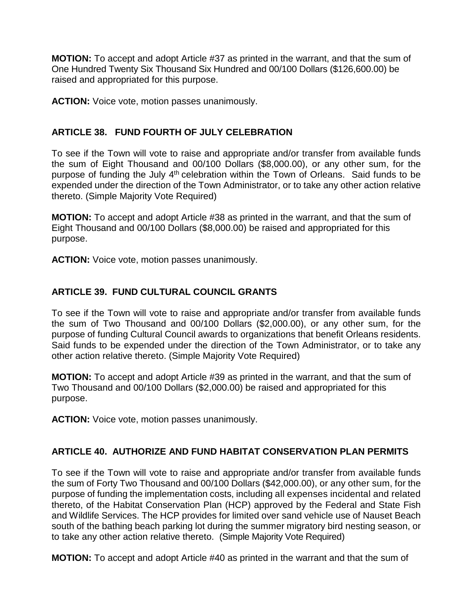**MOTION:** To accept and adopt Article #37 as printed in the warrant, and that the sum of One Hundred Twenty Six Thousand Six Hundred and 00/100 Dollars (\$126,600.00) be raised and appropriated for this purpose.

**ACTION:** Voice vote, motion passes unanimously.

# **ARTICLE 38. FUND FOURTH OF JULY CELEBRATION**

To see if the Town will vote to raise and appropriate and/or transfer from available funds the sum of Eight Thousand and 00/100 Dollars (\$8,000.00), or any other sum, for the purpose of funding the July  $4<sup>th</sup>$  celebration within the Town of Orleans. Said funds to be expended under the direction of the Town Administrator, or to take any other action relative thereto. (Simple Majority Vote Required)

**MOTION:** To accept and adopt Article #38 as printed in the warrant, and that the sum of Eight Thousand and 00/100 Dollars (\$8,000.00) be raised and appropriated for this purpose.

**ACTION:** Voice vote, motion passes unanimously.

# **ARTICLE 39. FUND CULTURAL COUNCIL GRANTS**

To see if the Town will vote to raise and appropriate and/or transfer from available funds the sum of Two Thousand and 00/100 Dollars (\$2,000.00), or any other sum, for the purpose of funding Cultural Council awards to organizations that benefit Orleans residents. Said funds to be expended under the direction of the Town Administrator, or to take any other action relative thereto. (Simple Majority Vote Required)

**MOTION:** To accept and adopt Article #39 as printed in the warrant, and that the sum of Two Thousand and 00/100 Dollars (\$2,000.00) be raised and appropriated for this purpose.

**ACTION:** Voice vote, motion passes unanimously.

# **ARTICLE 40. AUTHORIZE AND FUND HABITAT CONSERVATION PLAN PERMITS**

To see if the Town will vote to raise and appropriate and/or transfer from available funds the sum of Forty Two Thousand and 00/100 Dollars (\$42,000.00), or any other sum, for the purpose of funding the implementation costs, including all expenses incidental and related thereto, of the Habitat Conservation Plan (HCP) approved by the Federal and State Fish and Wildlife Services. The HCP provides for limited over sand vehicle use of Nauset Beach south of the bathing beach parking lot during the summer migratory bird nesting season, or to take any other action relative thereto. (Simple Majority Vote Required)

**MOTION:** To accept and adopt Article #40 as printed in the warrant and that the sum of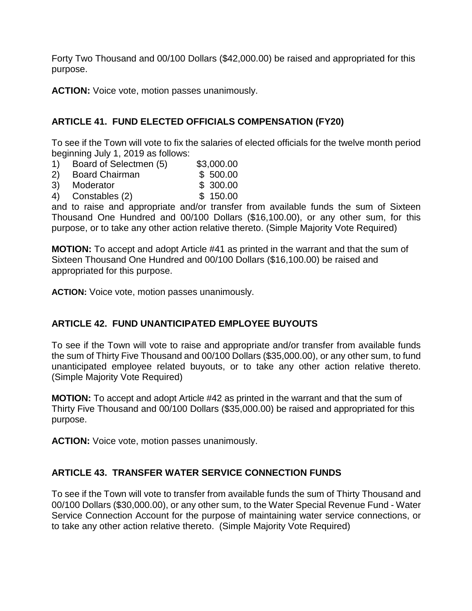Forty Two Thousand and 00/100 Dollars (\$42,000.00) be raised and appropriated for this purpose.

**ACTION:** Voice vote, motion passes unanimously.

# **ARTICLE 41. FUND ELECTED OFFICIALS COMPENSATION (FY20)**

To see if the Town will vote to fix the salaries of elected officials for the twelve month period beginning July 1, 2019 as follows:

- 1) Board of Selectmen (5) \$3,000.00
- 2) Board Chairman \$ 500.00
- 3) Moderator \$ 300.00
- 4) Constables (2)

and to raise and appropriate and/or transfer from available funds the sum of Sixteen Thousand One Hundred and 00/100 Dollars (\$16,100.00), or any other sum, for this purpose, or to take any other action relative thereto. (Simple Majority Vote Required)

**MOTION:** To accept and adopt Article #41 as printed in the warrant and that the sum of Sixteen Thousand One Hundred and 00/100 Dollars (\$16,100.00) be raised and appropriated for this purpose.

**ACTION:** Voice vote, motion passes unanimously.

# **ARTICLE 42. FUND UNANTICIPATED EMPLOYEE BUYOUTS**

To see if the Town will vote to raise and appropriate and/or transfer from available funds the sum of Thirty Five Thousand and 00/100 Dollars (\$35,000.00), or any other sum, to fund unanticipated employee related buyouts, or to take any other action relative thereto. (Simple Majority Vote Required)

**MOTION:** To accept and adopt Article #42 as printed in the warrant and that the sum of Thirty Five Thousand and 00/100 Dollars (\$35,000.00) be raised and appropriated for this purpose.

**ACTION:** Voice vote, motion passes unanimously.

# **ARTICLE 43. TRANSFER WATER SERVICE CONNECTION FUNDS**

To see if the Town will vote to transfer from available funds the sum of Thirty Thousand and 00/100 Dollars (\$30,000.00), or any other sum, to the Water Special Revenue Fund - Water Service Connection Account for the purpose of maintaining water service connections, or to take any other action relative thereto. (Simple Majority Vote Required)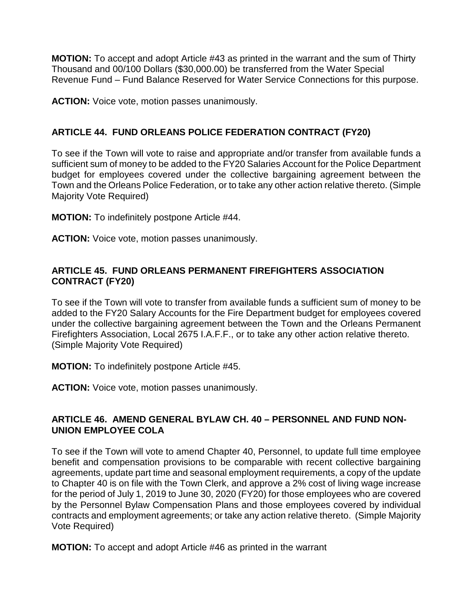**MOTION:** To accept and adopt Article #43 as printed in the warrant and the sum of Thirty Thousand and 00/100 Dollars (\$30,000.00) be transferred from the Water Special Revenue Fund – Fund Balance Reserved for Water Service Connections for this purpose.

**ACTION:** Voice vote, motion passes unanimously.

# **ARTICLE 44. FUND ORLEANS POLICE FEDERATION CONTRACT (FY20)**

To see if the Town will vote to raise and appropriate and/or transfer from available funds a sufficient sum of money to be added to the FY20 Salaries Account for the Police Department budget for employees covered under the collective bargaining agreement between the Town and the Orleans Police Federation, or to take any other action relative thereto. (Simple Majority Vote Required)

**MOTION:** To indefinitely postpone Article #44.

**ACTION:** Voice vote, motion passes unanimously.

# **ARTICLE 45. FUND ORLEANS PERMANENT FIREFIGHTERS ASSOCIATION CONTRACT (FY20)**

To see if the Town will vote to transfer from available funds a sufficient sum of money to be added to the FY20 Salary Accounts for the Fire Department budget for employees covered under the collective bargaining agreement between the Town and the Orleans Permanent Firefighters Association, Local 2675 I.A.F.F., or to take any other action relative thereto. (Simple Majority Vote Required)

**MOTION:** To indefinitely postpone Article #45.

**ACTION:** Voice vote, motion passes unanimously.

#### **ARTICLE 46. AMEND GENERAL BYLAW CH. 40 – PERSONNEL AND FUND NON-UNION EMPLOYEE COLA**

To see if the Town will vote to amend Chapter 40, Personnel, to update full time employee benefit and compensation provisions to be comparable with recent collective bargaining agreements, update part time and seasonal employment requirements, a copy of the update to Chapter 40 is on file with the Town Clerk, and approve a 2% cost of living wage increase for the period of July 1, 2019 to June 30, 2020 (FY20) for those employees who are covered by the Personnel Bylaw Compensation Plans and those employees covered by individual contracts and employment agreements; or take any action relative thereto. (Simple Majority Vote Required)

**MOTION:** To accept and adopt Article #46 as printed in the warrant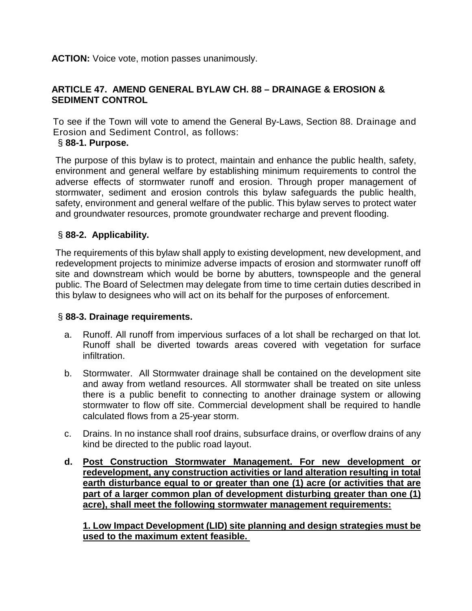**ACTION:** Voice vote, motion passes unanimously.

# **ARTICLE 47. AMEND GENERAL BYLAW CH. 88 – DRAINAGE & EROSION & SEDIMENT CONTROL**

To see if the Town will vote to amend the General By-Laws, Section 88. Drainage and Erosion and Sediment Control, as follows:

## § **88-1. Purpose.**

The purpose of this bylaw is to protect, maintain and enhance the public health, safety, environment and general welfare by establishing minimum requirements to control the adverse effects of stormwater runoff and erosion. Through proper management of stormwater, sediment and erosion controls this bylaw safeguards the public health, safety, environment and general welfare of the public. This bylaw serves to protect water and groundwater resources, promote groundwater recharge and prevent flooding.

# § **88-2. Applicability.**

The requirements of this bylaw shall apply to existing development, new development, and redevelopment projects to minimize adverse impacts of erosion and stormwater runoff off site and downstream which would be borne by abutters, townspeople and the general public. The Board of Selectmen may delegate from time to time certain duties described in this bylaw to designees who will act on its behalf for the purposes of enforcement.

# § **88-3. Drainage requirements.**

- a. Runoff. All runoff from impervious surfaces of a lot shall be recharged on that lot. Runoff shall be diverted towards areas covered with vegetation for surface infiltration.
- b. Stormwater. All Stormwater drainage shall be contained on the development site and away from wetland resources. All stormwater shall be treated on site unless there is a public benefit to connecting to another drainage system or allowing stormwater to flow off site. Commercial development shall be required to handle calculated flows from a 25-year storm.
- c. Drains. In no instance shall roof drains, subsurface drains, or overflow drains of any kind be directed to the public road layout.
- **d. Post Construction Stormwater Management. For new development or redevelopment, any construction activities or land alteration resulting in total earth disturbance equal to or greater than one (1) acre (or activities that are part of a larger common plan of development disturbing greater than one (1) acre), shall meet the following stormwater management requirements:**

**1. Low Impact Development (LID) site planning and design strategies must be used to the maximum extent feasible.**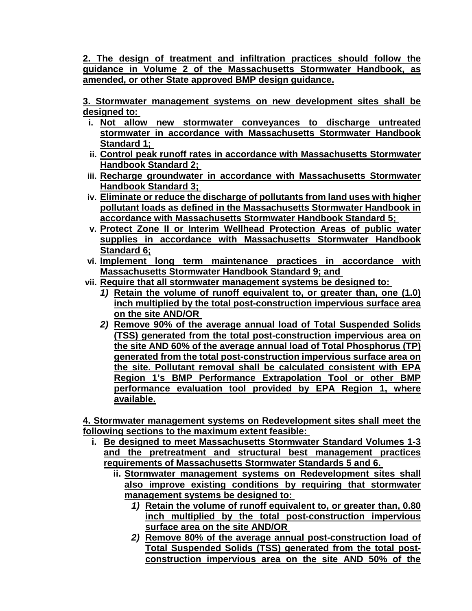**2. The design of treatment and infiltration practices should follow the guidance in Volume 2 of the Massachusetts Stormwater Handbook, as amended, or other State approved BMP design guidance.**

**3. Stormwater management systems on new development sites shall be designed to:** 

- **i. Not allow new stormwater conveyances to discharge untreated stormwater in accordance with Massachusetts Stormwater Handbook Standard 1;**
- **ii. Control peak runoff rates in accordance with Massachusetts Stormwater Handbook Standard 2;**
- **iii. Recharge groundwater in accordance with Massachusetts Stormwater Handbook Standard 3;**
- **iv. Eliminate or reduce the discharge of pollutants from land uses with higher pollutant loads as defined in the Massachusetts Stormwater Handbook in accordance with Massachusetts Stormwater Handbook Standard 5;**
- **v. Protect Zone II or Interim Wellhead Protection Areas of public water supplies in accordance with Massachusetts Stormwater Handbook Standard 6;**
- **vi. Implement long term maintenance practices in accordance with Massachusetts Stormwater Handbook Standard 9; and**
- **vii. Require that all stormwater management systems be designed to:** 
	- *1)* **Retain the volume of runoff equivalent to, or greater than, one (1.0) inch multiplied by the total post-construction impervious surface area on the site AND/OR**
	- *2)* **Remove 90% of the average annual load of Total Suspended Solids (TSS) generated from the total post-construction impervious area on the site AND 60% of the average annual load of Total Phosphorus (TP) generated from the total post-construction impervious surface area on the site. Pollutant removal shall be calculated consistent with EPA Region 1's BMP Performance Extrapolation Tool or other BMP performance evaluation tool provided by EPA Region 1, where available.**

**4. Stormwater management systems on Redevelopment sites shall meet the following sections to the maximum extent feasible:** 

- **i. Be designed to meet Massachusetts Stormwater Standard Volumes 1-3 and the pretreatment and structural best management practices requirements of Massachusetts Stormwater Standards 5 and 6.** 
	- **ii. Stormwater management systems on Redevelopment sites shall also improve existing conditions by requiring that stormwater management systems be designed to:** 
		- *1)* **Retain the volume of runoff equivalent to, or greater than, 0.80 inch multiplied by the total post-construction impervious surface area on the site AND/OR**
		- *2)* **Remove 80% of the average annual post-construction load of Total Suspended Solids (TSS) generated from the total postconstruction impervious area on the site AND 50% of the**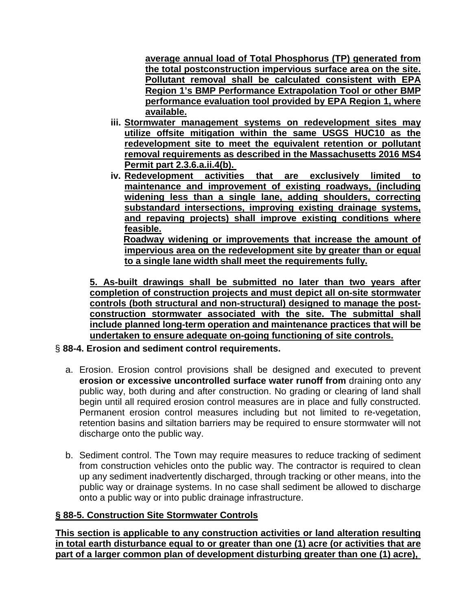**average annual load of Total Phosphorus (TP) generated from the total postconstruction impervious surface area on the site. Pollutant removal shall be calculated consistent with EPA Region 1's BMP Performance Extrapolation Tool or other BMP performance evaluation tool provided by EPA Region 1, where available.**

- **iii. Stormwater management systems on redevelopment sites may utilize offsite mitigation within the same USGS HUC10 as the redevelopment site to meet the equivalent retention or pollutant removal requirements as described in the Massachusetts 2016 MS4 Permit part 2.3.6.a.ii.4(b).**
- **iv. Redevelopment activities that are exclusively limited to maintenance and improvement of existing roadways, (including widening less than a single lane, adding shoulders, correcting substandard intersections, improving existing drainage systems, and repaving projects) shall improve existing conditions where feasible. Roadway widening or improvements that increase the amount of impervious area on the redevelopment site by greater than or equal**

**to a single lane width shall meet the requirements fully.**

**5. As-built drawings shall be submitted no later than two years after completion of construction projects and must depict all on-site stormwater controls (both structural and non-structural) designed to manage the postconstruction stormwater associated with the site. The submittal shall include planned long-term operation and maintenance practices that will be undertaken to ensure adequate on-going functioning of site controls.**

- § **88-4. Erosion and sediment control requirements.**
	- a. Erosion. Erosion control provisions shall be designed and executed to prevent **erosion or excessive uncontrolled surface water runoff from** draining onto any public way, both during and after construction. No grading or clearing of land shall begin until all required erosion control measures are in place and fully constructed. Permanent erosion control measures including but not limited to re-vegetation, retention basins and siltation barriers may be required to ensure stormwater will not discharge onto the public way.
	- b. Sediment control. The Town may require measures to reduce tracking of sediment from construction vehicles onto the public way. The contractor is required to clean up any sediment inadvertently discharged, through tracking or other means, into the public way or drainage systems. In no case shall sediment be allowed to discharge onto a public way or into public drainage infrastructure.

#### **§ 88-5. Construction Site Stormwater Controls**

**This section is applicable to any construction activities or land alteration resulting in total earth disturbance equal to or greater than one (1) acre (or activities that are part of a larger common plan of development disturbing greater than one (1) acre),**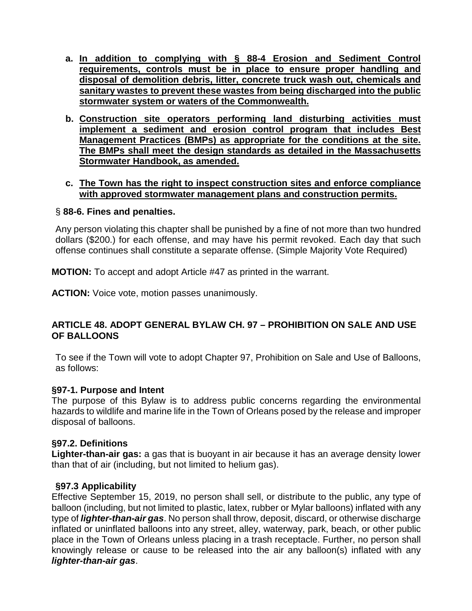- **a. In addition to complying with § 88-4 Erosion and Sediment Control requirements, controls must be in place to ensure proper handling and disposal of demolition debris, litter, concrete truck wash out, chemicals and sanitary wastes to prevent these wastes from being discharged into the public stormwater system or waters of the Commonwealth.**
- **b. Construction site operators performing land disturbing activities must implement a sediment and erosion control program that includes Best Management Practices (BMPs) as appropriate for the conditions at the site. The BMPs shall meet the design standards as detailed in the Massachusetts Stormwater Handbook, as amended.**

#### **c. The Town has the right to inspect construction sites and enforce compliance with approved stormwater management plans and construction permits.**

#### § **88-6. Fines and penalties.**

Any person violating this chapter shall be punished by a fine of not more than two hundred dollars (\$200.) for each offense, and may have his permit revoked. Each day that such offense continues shall constitute a separate offense. (Simple Majority Vote Required)

**MOTION:** To accept and adopt Article #47 as printed in the warrant.

**ACTION:** Voice vote, motion passes unanimously.

## **ARTICLE 48. ADOPT GENERAL BYLAW CH. 97 – PROHIBITION ON SALE AND USE OF BALLOONS**

To see if the Town will vote to adopt Chapter 97, Prohibition on Sale and Use of Balloons, as follows:

#### **§97-1. Purpose and Intent**

The purpose of this Bylaw is to address public concerns regarding the environmental hazards to wildlife and marine life in the Town of Orleans posed by the release and improper disposal of balloons.

#### **§97.2. Definitions**

**Lighter-than-air gas:** a gas that is buoyant in air because it has an average density lower than that of air (including, but not limited to helium gas).

#### **§97.3 Applicability**

Effective September 15, 2019, no person shall sell, or distribute to the public, any type of balloon (including, but not limited to plastic, latex, rubber or Mylar balloons) inflated with any type of *lighter-than-air gas*. No person shall throw, deposit, discard, or otherwise discharge inflated or uninflated balloons into any street, alley, waterway, park, beach, or other public place in the Town of Orleans unless placing in a trash receptacle. Further, no person shall knowingly release or cause to be released into the air any balloon(s) inflated with any *lighter-than-air gas*.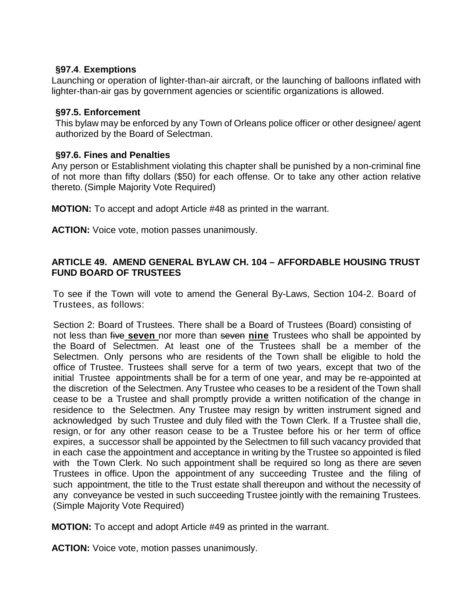### **§97.4**. **Exemptions**

Launching or operation of lighter-than-air aircraft, or the launching of balloons inflated with lighter-than-air gas by government agencies or scientific organizations is allowed.

# **§97.5. Enforcement**

This bylaw may be enforced by any Town of Orleans police officer or other designee/ agent authorized by the Board of Selectman.

# **§97.6. Fines and Penalties**

Any person or Establishment violating this chapter shall be punished by a non-criminal fine of not more than fifty dollars (\$50) for each offense. Or to take any other action relative thereto. (Simple Majority Vote Required)

**MOTION:** To accept and adopt Article #48 as printed in the warrant.

**ACTION:** Voice vote, motion passes unanimously.

# **ARTICLE 49. AMEND GENERAL BYLAW CH. 104 – AFFORDABLE HOUSING TRUST FUND BOARD OF TRUSTEES**

To see if the Town will vote to amend the General By-Laws, Section 104-2. Board of Trustees, as follows:

Section 2: Board of Trustees. There shall be a Board of Trustees (Board) consisting of not less than five **seven** nor more than seven **nine** Trustees who shall be appointed by the Board of Selectmen. At least one of the Trustees shall be a member of the Selectmen. Only persons who are residents of the Town shall be eligible to hold the office of Trustee. Trustees shall serve for a term of two years, except that two of the initial Trustee appointments shall be for a term of one year, and may be re-appointed at the discretion of the Selectmen. Any Trustee who ceases to be a resident of the Town shall cease to be a Trustee and shall promptly provide a written notification of the change in residence to the Selectmen. Any Trustee may resign by written instrument signed and acknowledged by such Trustee and duly filed with the Town Clerk. If a Trustee shall die, resign, or for any other reason cease to be a Trustee before his or her term of office expires, a successor shall be appointed by the Selectmen to fill such vacancy provided that in each case the appointment and acceptance in writing by the Trustee so appointed is filed with the Town Clerk. No such appointment shall be required so long as there are seven Trustees in office. Upon the appointment of any succeeding Trustee and the filing of such appointment, the title to the Trust estate shall thereupon and without the necessity of any conveyance be vested in such succeeding Trustee jointly with the remaining Trustees. (Simple Majority Vote Required)

**MOTION:** To accept and adopt Article #49 as printed in the warrant.

**ACTION:** Voice vote, motion passes unanimously.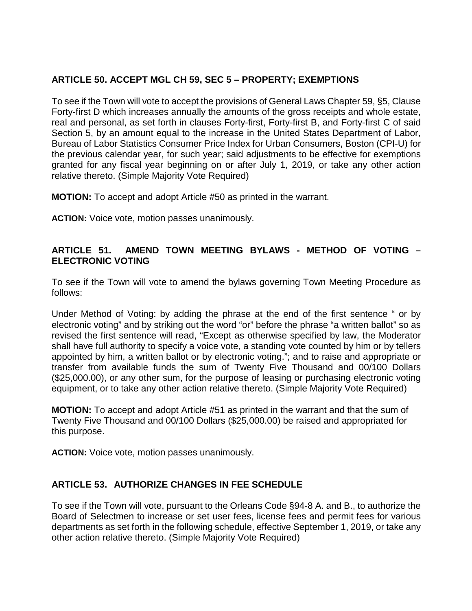# **ARTICLE 50. ACCEPT MGL CH 59, SEC 5 – PROPERTY; EXEMPTIONS**

To see if the Town will vote to accept the provisions of General Laws Chapter 59, §5, Clause Forty-first D which increases annually the amounts of the gross receipts and whole estate, real and personal, as set forth in clauses Forty-first, Forty-first B, and Forty-first C of said Section 5, by an amount equal to the increase in the United States Department of Labor, Bureau of Labor Statistics Consumer Price Index for Urban Consumers, Boston (CPI-U) for the previous calendar year, for such year; said adjustments to be effective for exemptions granted for any fiscal year beginning on or after July 1, 2019, or take any other action relative thereto. (Simple Majority Vote Required)

**MOTION:** To accept and adopt Article #50 as printed in the warrant.

**ACTION:** Voice vote, motion passes unanimously.

# **ARTICLE 51. AMEND TOWN MEETING BYLAWS - METHOD OF VOTING – ELECTRONIC VOTING**

To see if the Town will vote to amend the bylaws governing Town Meeting Procedure as follows:

Under Method of Voting: by adding the phrase at the end of the first sentence " or by electronic voting" and by striking out the word "or" before the phrase "a written ballot" so as revised the first sentence will read, "Except as otherwise specified by law, the Moderator shall have full authority to specify a voice vote, a standing vote counted by him or by tellers appointed by him, a written ballot or by electronic voting."; and to raise and appropriate or transfer from available funds the sum of Twenty Five Thousand and 00/100 Dollars (\$25,000.00), or any other sum, for the purpose of leasing or purchasing electronic voting equipment, or to take any other action relative thereto. (Simple Majority Vote Required)

**MOTION:** To accept and adopt Article #51 as printed in the warrant and that the sum of Twenty Five Thousand and 00/100 Dollars (\$25,000.00) be raised and appropriated for this purpose.

**ACTION:** Voice vote, motion passes unanimously.

# **ARTICLE 53. AUTHORIZE CHANGES IN FEE SCHEDULE**

To see if the Town will vote, pursuant to the Orleans Code §94-8 A. and B., to authorize the Board of Selectmen to increase or set user fees, license fees and permit fees for various departments as set forth in the following schedule, effective September 1, 2019, or take any other action relative thereto. (Simple Majority Vote Required)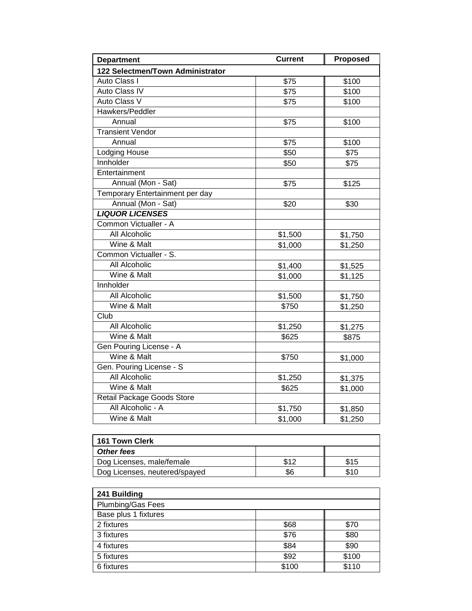| <b>Department</b>                | <b>Current</b> | Proposed |
|----------------------------------|----------------|----------|
| 122 Selectmen/Town Administrator |                |          |
| Auto Class I                     | \$75           | \$100    |
| <b>Auto Class IV</b>             | \$75           | \$100    |
| Auto Class V                     | \$75           | \$100    |
| Hawkers/Peddler                  |                |          |
| Annual                           | \$75           | \$100    |
| <b>Transient Vendor</b>          |                |          |
| Annual                           | \$75           | \$100    |
| Lodging House                    | \$50           | \$75     |
| Innholder                        | \$50           | \$75     |
| Entertainment                    |                |          |
| Annual (Mon - Sat)               | \$75           | \$125    |
| Temporary Entertainment per day  |                |          |
| Annual (Mon - Sat)               | \$20           | \$30     |
| <b>LIQUOR LICENSES</b>           |                |          |
| Common Victualler - A            |                |          |
| All Alcoholic                    | \$1,500        | \$1,750  |
| Wine & Malt                      | \$1,000        | \$1,250  |
| Common Victualler - S.           |                |          |
| All Alcoholic                    | \$1,400        | \$1,525  |
| Wine & Malt                      | \$1,000        | \$1,125  |
| Innholder                        |                |          |
| All Alcoholic                    | \$1,500        | \$1,750  |
| Wine & Malt                      | \$750          | \$1,250  |
| Club                             |                |          |
| All Alcoholic                    | \$1,250        | \$1,275  |
| Wine & Malt                      | \$625          | \$875    |
| Gen Pouring License - A          |                |          |
| Wine & Malt                      | \$750          | \$1,000  |
| Gen. Pouring License - S         |                |          |
| <b>All Alcoholic</b>             | \$1,250        | \$1,375  |
| Wine & Malt                      | \$625          | \$1,000  |
| Retail Package Goods Store       |                |          |
| All Alcoholic - A                | \$1,750        | \$1,850  |
| Wine & Malt                      | \$1,000        | \$1,250  |

| <b>161 Town Clerk</b>         |      |      |  |  |
|-------------------------------|------|------|--|--|
| Other fees                    |      |      |  |  |
| Dog Licenses, male/female     | \$12 | \$15 |  |  |
| Dog Licenses, neutered/spayed |      | \$10 |  |  |

| 241 Building         |       |       |
|----------------------|-------|-------|
| Plumbing/Gas Fees    |       |       |
| Base plus 1 fixtures |       |       |
| 2 fixtures           | \$68  | \$70  |
| 3 fixtures           | \$76  | \$80  |
| 4 fixtures           | \$84  | \$90  |
| 5 fixtures           | \$92  | \$100 |
| 6 fixtures           | \$100 | \$110 |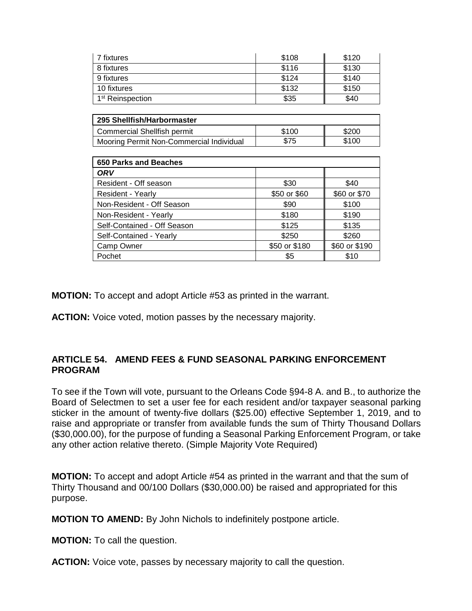| 7 fixtures                   | \$108 | \$120 |
|------------------------------|-------|-------|
| 8 fixtures                   | \$116 | \$130 |
| 9 fixtures                   | \$124 | \$140 |
| 10 fixtures                  | \$132 | \$150 |
| 1 <sup>st</sup> Reinspection | \$35  | \$40  |

| 295 Shellfish/Harbormaster               |       |       |
|------------------------------------------|-------|-------|
| Commercial Shellfish permit              | \$100 | \$200 |
| Mooring Permit Non-Commercial Individual | \$75  | \$100 |

| <b>650 Parks and Beaches</b> |               |               |
|------------------------------|---------------|---------------|
| ORV                          |               |               |
| Resident - Off season        | \$30          | \$40          |
| Resident - Yearly            | \$50 or \$60  | \$60 or \$70  |
| Non-Resident - Off Season    | \$90          | \$100         |
| Non-Resident - Yearly        | \$180         | \$190         |
| Self-Contained - Off Season  | \$125         | \$135         |
| Self-Contained - Yearly      | \$250         | \$260         |
| Camp Owner                   | \$50 or \$180 | \$60 or \$190 |
| Pochet                       | \$5           | \$10          |

**MOTION:** To accept and adopt Article #53 as printed in the warrant.

**ACTION:** Voice voted, motion passes by the necessary majority.

#### **ARTICLE 54. AMEND FEES & FUND SEASONAL PARKING ENFORCEMENT PROGRAM**

To see if the Town will vote, pursuant to the Orleans Code §94-8 A. and B., to authorize the Board of Selectmen to set a user fee for each resident and/or taxpayer seasonal parking sticker in the amount of twenty-five dollars (\$25.00) effective September 1, 2019, and to raise and appropriate or transfer from available funds the sum of Thirty Thousand Dollars (\$30,000.00), for the purpose of funding a Seasonal Parking Enforcement Program, or take any other action relative thereto. (Simple Majority Vote Required)

**MOTION:** To accept and adopt Article #54 as printed in the warrant and that the sum of Thirty Thousand and 00/100 Dollars (\$30,000.00) be raised and appropriated for this purpose.

**MOTION TO AMEND:** By John Nichols to indefinitely postpone article.

**MOTION:** To call the question.

**ACTION:** Voice vote, passes by necessary majority to call the question.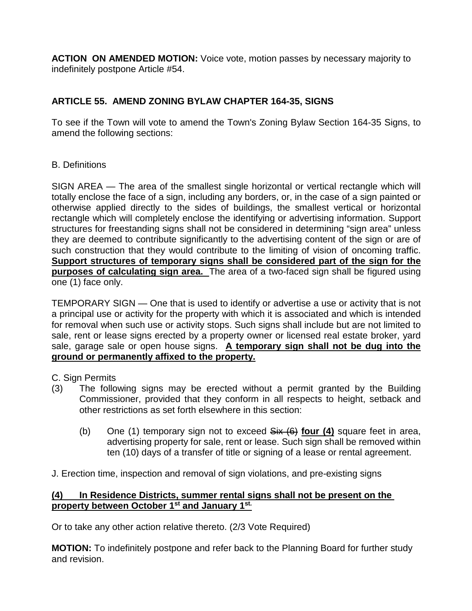**ACTION ON AMENDED MOTION:** Voice vote, motion passes by necessary majority to indefinitely postpone Article #54.

# **ARTICLE 55. AMEND ZONING BYLAW CHAPTER 164-35, SIGNS**

To see if the Town will vote to amend the Town's Zoning Bylaw Section 164-35 Signs, to amend the following sections:

## B. Definitions

SIGN AREA — The area of the smallest single horizontal or vertical rectangle which will totally enclose the face of a sign, including any borders, or, in the case of a sign painted or otherwise applied directly to the sides of buildings, the smallest vertical or horizontal rectangle which will completely enclose the identifying or advertising information. Support structures for freestanding signs shall not be considered in determining "sign area" unless they are deemed to contribute significantly to the advertising content of the sign or are of such construction that they would contribute to the limiting of vision of oncoming traffic. **Support structures of temporary signs shall be considered part of the sign for the purposes of calculating sign area.** The area of a two-faced sign shall be figured using one (1) face only.

TEMPORARY SIGN — One that is used to identify or advertise a use or activity that is not a principal use or activity for the property with which it is associated and which is intended for removal when such use or activity stops. Such signs shall include but are not limited to sale, rent or lease signs erected by a property owner or licensed real estate broker, yard sale, garage sale or open house signs. **A temporary sign shall not be dug into the ground or permanently affixed to the property.**

C. Sign Permits

- (3) The following signs may be erected without a permit granted by the Building Commissioner, provided that they conform in all respects to height, setback and other restrictions as set forth elsewhere in this section:
	- (b) One (1) temporary sign not to exceed Six (6) **four (4)** square feet in area, advertising property for sale, rent or lease. Such sign shall be removed within ten (10) days of a transfer of title or signing of a lease or rental agreement.

J. Erection time, inspection and removal of sign violations, and pre-existing signs

## **(4) In Residence Districts, summer rental signs shall not be present on the property between October 1st and January 1st.**

Or to take any other action relative thereto. (2/3 Vote Required)

**MOTION:** To indefinitely postpone and refer back to the Planning Board for further study and revision.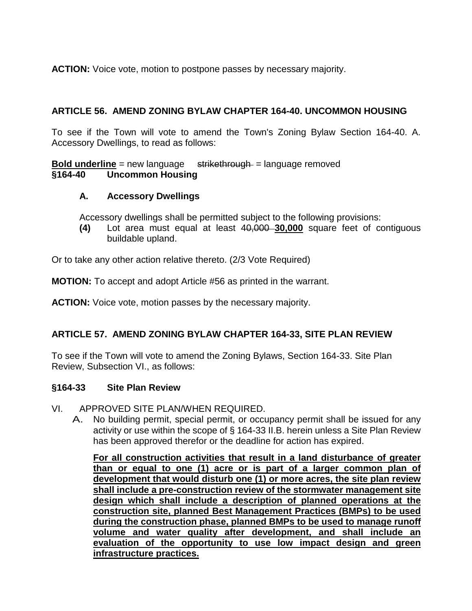**ACTION:** Voice vote, motion to postpone passes by necessary majority.

## **ARTICLE 56. AMEND ZONING BYLAW CHAPTER 164-40. UNCOMMON HOUSING**

To see if the Town will vote to amend the Town's Zoning Bylaw Section 164-40. A. Accessory Dwellings, to read as follows:

**Bold underline** = new language strikethrough = language removed **§164-40 Uncommon Housing** 

## **A. Accessory Dwellings**

Accessory dwellings shall be permitted subject to the following provisions:

**(4)** Lot area must equal at least 40,000 **30,000** square feet of contiguous buildable upland.

Or to take any other action relative thereto. (2/3 Vote Required)

**MOTION:** To accept and adopt Article #56 as printed in the warrant.

**ACTION:** Voice vote, motion passes by the necessary majority.

# **ARTICLE 57. AMEND ZONING BYLAW CHAPTER 164-33, SITE PLAN REVIEW**

To see if the Town will vote to amend the Zoning Bylaws, Section 164-33. Site Plan Review, Subsection VI., as follows:

# **§164-33 Site Plan Review**

- VI. APPROVED SITE PLAN/WHEN REQUIRED.
	- A. No building permit, special permit, or occupancy permit shall be issued for any activity or use within the scope of § 164-33 II.B. herein unless a Site Plan Review has been approved therefor or the deadline for action has expired.

**For all construction activities that result in a land disturbance of greater than or equal to one (1) acre or is part of a larger common plan of development that would disturb one (1) or more acres, the site plan review shall include a pre-construction review of the stormwater management site design which shall include a description of planned operations at the construction site, planned Best Management Practices (BMPs) to be used during the construction phase, planned BMPs to be used to manage runoff volume and water quality after development, and shall include an evaluation of the opportunity to use low impact design and green infrastructure practices.**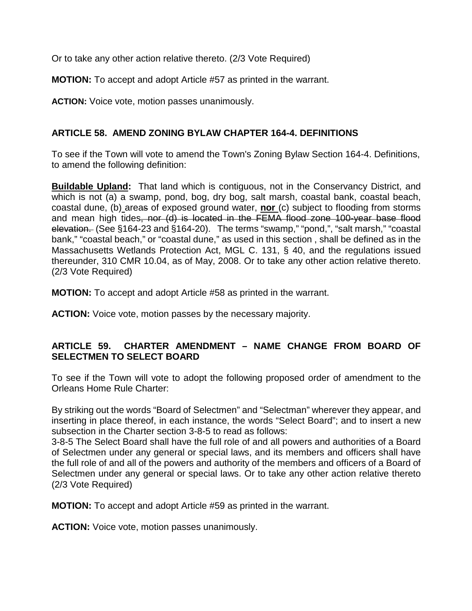Or to take any other action relative thereto. (2/3 Vote Required)

**MOTION:** To accept and adopt Article #57 as printed in the warrant.

**ACTION:** Voice vote, motion passes unanimously.

# **ARTICLE 58. AMEND ZONING BYLAW CHAPTER 164-4. DEFINITIONS**

To see if the Town will vote to amend the Town's Zoning Bylaw Section 164-4. Definitions, to amend the following definition:

**Buildable Upland:** That land which is contiguous, not in the Conservancy District, and which is not (a) a swamp, pond, bog, dry bog, salt marsh, coastal bank, coastal beach, coastal dune, (b) areas of exposed ground water, **nor** (c) subject to flooding from storms and mean high tides, nor (d) is located in the FEMA flood zone 100-year base flood elevation. (See §164-23 and §164-20). The terms "swamp," "pond,", "salt marsh," "coastal bank," "coastal beach," or "coastal dune," as used in this section , shall be defined as in the Massachusetts Wetlands Protection Act, MGL C. 131, § 40, and the regulations issued thereunder, 310 CMR 10.04, as of May, 2008. Or to take any other action relative thereto. (2/3 Vote Required)

**MOTION:** To accept and adopt Article #58 as printed in the warrant.

**ACTION:** Voice vote, motion passes by the necessary majority.

## **ARTICLE 59. CHARTER AMENDMENT – NAME CHANGE FROM BOARD OF SELECTMEN TO SELECT BOARD**

To see if the Town will vote to adopt the following proposed order of amendment to the Orleans Home Rule Charter:

By striking out the words "Board of Selectmen" and "Selectman" wherever they appear, and inserting in place thereof, in each instance, the words "Select Board"; and to insert a new subsection in the Charter section 3-8-5 to read as follows:

3-8-5 The Select Board shall have the full role of and all powers and authorities of a Board of Selectmen under any general or special laws, and its members and officers shall have the full role of and all of the powers and authority of the members and officers of a Board of Selectmen under any general or special laws. Or to take any other action relative thereto (2/3 Vote Required)

**MOTION:** To accept and adopt Article #59 as printed in the warrant.

**ACTION:** Voice vote, motion passes unanimously.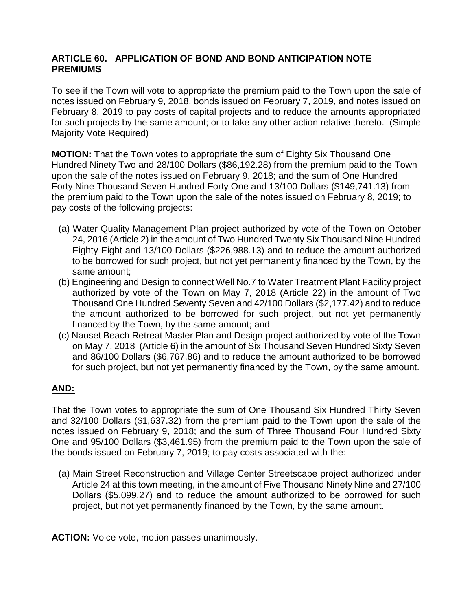## **ARTICLE 60. APPLICATION OF BOND AND BOND ANTICIPATION NOTE PREMIUMS**

To see if the Town will vote to appropriate the premium paid to the Town upon the sale of notes issued on February 9, 2018, bonds issued on February 7, 2019, and notes issued on February 8, 2019 to pay costs of capital projects and to reduce the amounts appropriated for such projects by the same amount; or to take any other action relative thereto. (Simple Majority Vote Required)

**MOTION:** That the Town votes to appropriate the sum of Eighty Six Thousand One Hundred Ninety Two and 28/100 Dollars (\$86,192.28) from the premium paid to the Town upon the sale of the notes issued on February 9, 2018; and the sum of One Hundred Forty Nine Thousand Seven Hundred Forty One and 13/100 Dollars (\$149,741.13) from the premium paid to the Town upon the sale of the notes issued on February 8, 2019; to pay costs of the following projects:

- (a) Water Quality Management Plan project authorized by vote of the Town on October 24, 2016 (Article 2) in the amount of Two Hundred Twenty Six Thousand Nine Hundred Eighty Eight and 13/100 Dollars (\$226,988.13) and to reduce the amount authorized to be borrowed for such project, but not yet permanently financed by the Town, by the same amount;
- (b) Engineering and Design to connect Well No.7 to Water Treatment Plant Facility project authorized by vote of the Town on May 7, 2018 (Article 22) in the amount of Two Thousand One Hundred Seventy Seven and 42/100 Dollars (\$2,177.42) and to reduce the amount authorized to be borrowed for such project, but not yet permanently financed by the Town, by the same amount; and
- (c) Nauset Beach Retreat Master Plan and Design project authorized by vote of the Town on May 7, 2018 (Article 6) in the amount of Six Thousand Seven Hundred Sixty Seven and 86/100 Dollars (\$6,767.86) and to reduce the amount authorized to be borrowed for such project, but not yet permanently financed by the Town, by the same amount.

# **AND:**

That the Town votes to appropriate the sum of One Thousand Six Hundred Thirty Seven and 32/100 Dollars (\$1,637.32) from the premium paid to the Town upon the sale of the notes issued on February 9, 2018; and the sum of Three Thousand Four Hundred Sixty One and 95/100 Dollars (\$3,461.95) from the premium paid to the Town upon the sale of the bonds issued on February 7, 2019; to pay costs associated with the:

(a) Main Street Reconstruction and Village Center Streetscape project authorized under Article 24 at this town meeting, in the amount of Five Thousand Ninety Nine and 27/100 Dollars (\$5,099.27) and to reduce the amount authorized to be borrowed for such project, but not yet permanently financed by the Town, by the same amount.

**ACTION:** Voice vote, motion passes unanimously.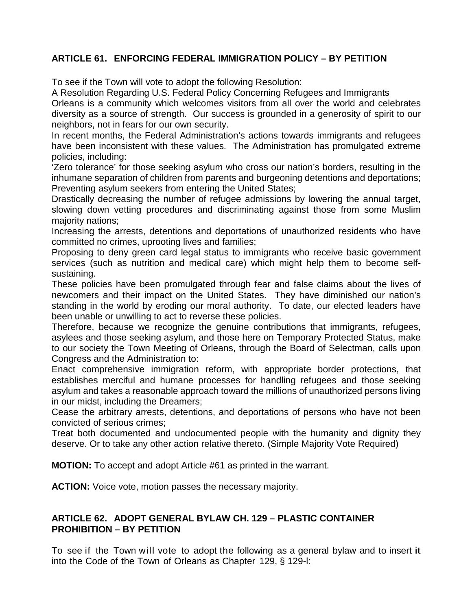# **ARTICLE 61. ENFORCING FEDERAL IMMIGRATION POLICY – BY PETITION**

To see if the Town will vote to adopt the following Resolution:

A Resolution Regarding U.S. Federal Policy Concerning Refugees and Immigrants

Orleans is a community which welcomes visitors from all over the world and celebrates diversity as a source of strength. Our success is grounded in a generosity of spirit to our neighbors, not in fears for our own security.

In recent months, the Federal Administration's actions towards immigrants and refugees have been inconsistent with these values. The Administration has promulgated extreme policies, including:

'Zero tolerance' for those seeking asylum who cross our nation's borders, resulting in the inhumane separation of children from parents and burgeoning detentions and deportations; Preventing asylum seekers from entering the United States;

Drastically decreasing the number of refugee admissions by lowering the annual target, slowing down vetting procedures and discriminating against those from some Muslim majority nations;

Increasing the arrests, detentions and deportations of unauthorized residents who have committed no crimes, uprooting lives and families;

Proposing to deny green card legal status to immigrants who receive basic government services (such as nutrition and medical care) which might help them to become selfsustaining.

These policies have been promulgated through fear and false claims about the lives of newcomers and their impact on the United States. They have diminished our nation's standing in the world by eroding our moral authority. To date, our elected leaders have been unable or unwilling to act to reverse these policies.

Therefore, because we recognize the genuine contributions that immigrants, refugees, asylees and those seeking asylum, and those here on Temporary Protected Status, make to our society the Town Meeting of Orleans, through the Board of Selectman, calls upon Congress and the Administration to:

Enact comprehensive immigration reform, with appropriate border protections, that establishes merciful and humane processes for handling refugees and those seeking asylum and takes a reasonable approach toward the millions of unauthorized persons living in our midst, including the Dreamers;

Cease the arbitrary arrests, detentions, and deportations of persons who have not been convicted of serious crimes;

Treat both documented and undocumented people with the humanity and dignity they deserve. Or to take any other action relative thereto. (Simple Majority Vote Required)

**MOTION:** To accept and adopt Article #61 as printed in the warrant.

**ACTION:** Voice vote, motion passes the necessary majority.

## **ARTICLE 62. ADOPT GENERAL BYLAW CH. 129 – PLASTIC CONTAINER PROHIBITION – BY PETITION**

To see if the Town will vote to adopt the following as a general bylaw and to insert it into the Code of the Town of Orleans as Chapter 129, § 129-l: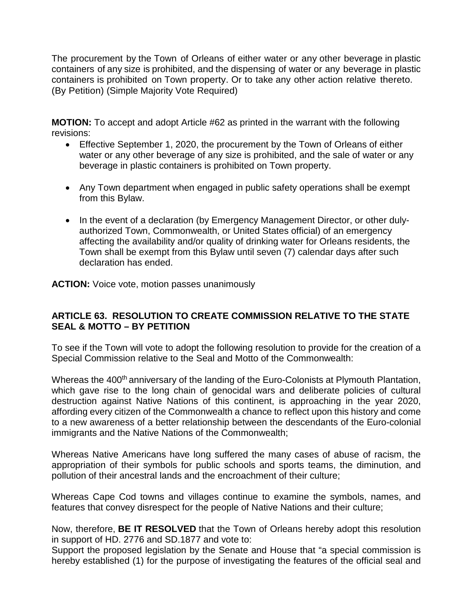The procurement by the Town of Orleans of either water or any other beverage in plastic containers of any size is prohibited, and the dispensing of water or any beverage in plastic containers is prohibited on Town property. Or to take any other action relative thereto. (By Petition) (Simple Majority Vote Required)

**MOTION:** To accept and adopt Article #62 as printed in the warrant with the following revisions:

- Effective September 1, 2020, the procurement by the Town of Orleans of either water or any other beverage of any size is prohibited, and the sale of water or any beverage in plastic containers is prohibited on Town property.
- Any Town department when engaged in public safety operations shall be exempt from this Bylaw.
- In the event of a declaration (by Emergency Management Director, or other dulyauthorized Town, Commonwealth, or United States official) of an emergency affecting the availability and/or quality of drinking water for Orleans residents, the Town shall be exempt from this Bylaw until seven (7) calendar days after such declaration has ended.

**ACTION:** Voice vote, motion passes unanimously

## **ARTICLE 63. RESOLUTION TO CREATE COMMISSION RELATIVE TO THE STATE SEAL & MOTTO – BY PETITION**

To see if the Town will vote to adopt the following resolution to provide for the creation of a Special Commission relative to the Seal and Motto of the Commonwealth:

Whereas the 400<sup>th</sup> anniversary of the landing of the Euro-Colonists at Plymouth Plantation, which gave rise to the long chain of genocidal wars and deliberate policies of cultural destruction against Native Nations of this continent, is approaching in the year 2020, affording every citizen of the Commonwealth a chance to reflect upon this history and come to a new awareness of a better relationship between the descendants of the Euro-colonial immigrants and the Native Nations of the Commonwealth;

Whereas Native Americans have long suffered the many cases of abuse of racism, the appropriation of their symbols for public schools and sports teams, the diminution, and pollution of their ancestral lands and the encroachment of their culture;

Whereas Cape Cod towns and villages continue to examine the symbols, names, and features that convey disrespect for the people of Native Nations and their culture;

Now, therefore, **BE IT RESOLVED** that the Town of Orleans hereby adopt this resolution in support of HD. 2776 and SD.1877 and vote to:

Support the proposed legislation by the Senate and House that "a special commission is hereby established (1) for the purpose of investigating the features of the official seal and